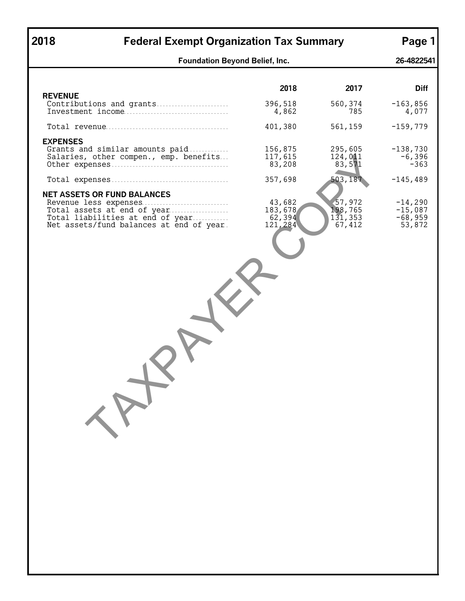| 2018<br><b>Federal Exempt Organization Tax Summary</b>                                                                                                                     |                                        |                                        |                                               |  |  |  |  |  |
|----------------------------------------------------------------------------------------------------------------------------------------------------------------------------|----------------------------------------|----------------------------------------|-----------------------------------------------|--|--|--|--|--|
| Foundation Beyond Belief, Inc.                                                                                                                                             |                                        |                                        |                                               |  |  |  |  |  |
|                                                                                                                                                                            | 2018                                   | 2017                                   | <b>Diff</b>                                   |  |  |  |  |  |
| <b>REVENUE</b><br>Contributions and grants                                                                                                                                 | 396,518<br>4,862                       | 560,374<br>785                         | $-163,856$<br>4,077                           |  |  |  |  |  |
|                                                                                                                                                                            | 401,380                                | 561,159                                | $-159,779$                                    |  |  |  |  |  |
| <b>EXPENSES</b><br>Grants and similar amounts paid<br>Salaries, other compen., emp. benefits                                                                               | 156,875<br>117,615<br>83,208           | 295,605<br>124,011<br>83,571           | $-138,730$<br>$-6,396$<br>$-363$              |  |  |  |  |  |
|                                                                                                                                                                            | 357,698                                | 503,187                                | $-145,489$                                    |  |  |  |  |  |
| <b>NET ASSETS OR FUND BALANCES</b><br>Revenue less expenses<br>Total assets at end of year<br>Total liabilities at end of year<br>Net assets/fund balances at end of year. | 43,682<br>183,678<br>62,394<br>121,284 | 57,972<br>198,765<br>131,353<br>67,412 | $-14,290$<br>$-15,087$<br>$-68,959$<br>53,872 |  |  |  |  |  |
| $x^2 + y^2$                                                                                                                                                                |                                        |                                        |                                               |  |  |  |  |  |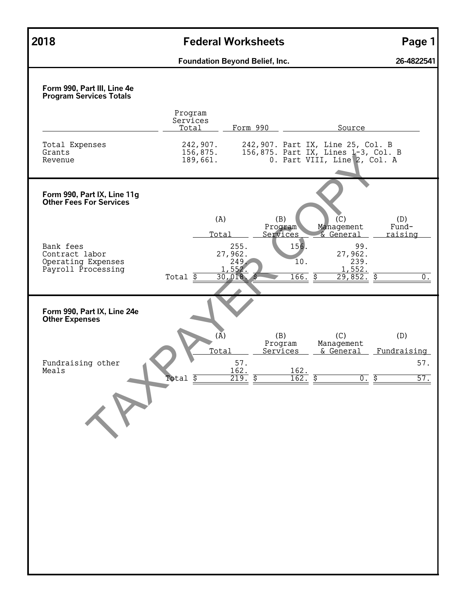2018

## **Federal Worksheets**

Page 1

**Foundation Beyond Belief, Inc.** 

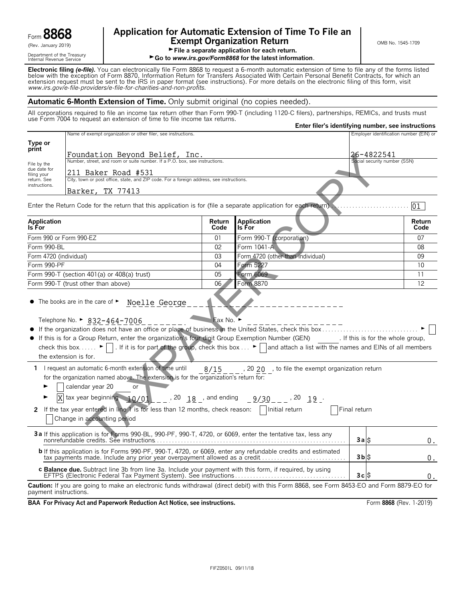

(Rev. January 2019)

Department of the Treasury<br>Internal Revenue Service

#### Application for Automatic Extension of Time To File an **Exempt Organization Return**

OMB No. 1545-1709

File a separate application for each return.

Go to www.irs.gov/Form8868 for the latest information.

Electronic filing (e-file). You can electronically file Form 8868 to request a 6-month automatic extension of time to file any of the forms listed below with the exception of Form 8870, Information Return for Transfers Ass www.irs.gov/e-file-providers/e-file-for-charities-and-non-profits.

#### Automatic 6-Month Extension of Time. Only submit original (no copies needed).

All corporations required to file an income tax return other than Form 990-T (including 1120-C filers), partnerships, REMICs, and trusts must use Form 7004 to request an extension of time to file income tax returns. Enter filer's identifying number see instructions

|                             | Name of exempt organization or other filer, see instructions.                                                                                                                                                                                                                                                                                                                                                                                                                        |                |                                   |                 | Lingi mei 5 Iuenurving number, see msuucuviis<br>Employer identification number (EIN) or |
|-----------------------------|--------------------------------------------------------------------------------------------------------------------------------------------------------------------------------------------------------------------------------------------------------------------------------------------------------------------------------------------------------------------------------------------------------------------------------------------------------------------------------------|----------------|-----------------------------------|-----------------|------------------------------------------------------------------------------------------|
| Type or                     |                                                                                                                                                                                                                                                                                                                                                                                                                                                                                      |                |                                   |                 |                                                                                          |
| print                       | Foundation Beyond Belief, Inc.                                                                                                                                                                                                                                                                                                                                                                                                                                                       |                | 26-4822541                        |                 |                                                                                          |
| File by the                 | Number, street, and room or suite number. If a P.O. box, see instructions.                                                                                                                                                                                                                                                                                                                                                                                                           |                |                                   |                 | Social security number (SSN)                                                             |
| due date for<br>filing your | 211 Baker Road #531                                                                                                                                                                                                                                                                                                                                                                                                                                                                  |                |                                   |                 |                                                                                          |
| return. See                 | City, town or post office, state, and ZIP code. For a foreign address, see instructions.                                                                                                                                                                                                                                                                                                                                                                                             |                |                                   |                 |                                                                                          |
| instructions.               | Barker, TX 77413                                                                                                                                                                                                                                                                                                                                                                                                                                                                     |                |                                   |                 |                                                                                          |
|                             | Enter the Return Code for the return that this application is for (file a separate application for each return).                                                                                                                                                                                                                                                                                                                                                                     |                |                                   |                 | 01                                                                                       |
| Application<br>ls For       |                                                                                                                                                                                                                                                                                                                                                                                                                                                                                      | Return<br>Code | Application<br><b>Is For</b>      |                 | Return<br>Code                                                                           |
|                             | Form 990 or Form 990-EZ                                                                                                                                                                                                                                                                                                                                                                                                                                                              | 01             | Form 990-T (corporation)          |                 | 07                                                                                       |
| Form 990-BL                 |                                                                                                                                                                                                                                                                                                                                                                                                                                                                                      | 02             | Form 1041-A                       |                 | 08                                                                                       |
| Form 4720 (individual)      |                                                                                                                                                                                                                                                                                                                                                                                                                                                                                      | 03             | Form 4720 (other than individual) |                 | 09                                                                                       |
| Form 990-PF                 |                                                                                                                                                                                                                                                                                                                                                                                                                                                                                      | 04             | Form 5227                         |                 | 10                                                                                       |
|                             | Form 990-T (section 401(a) or 408(a) trust)                                                                                                                                                                                                                                                                                                                                                                                                                                          | 05             | Form 6069                         |                 | 11                                                                                       |
|                             | Form 990-T (trust other than above)                                                                                                                                                                                                                                                                                                                                                                                                                                                  | 06             | Form 8870                         |                 | 12                                                                                       |
|                             | If this is for a Group Return, enter the organization's four digit Group Exemption Number (GEN) [f this is for the whole group,<br>check this box $\blacktriangleright \blacksquare$ . If it is for part of the group, check this box $\blacktriangleright \blacksquare$ and attach a list with the names and EINs of all members<br>the extension is for.<br>1 I request an automatic 6-month extension of time until $8/15$ - - - . 20 20 - to file the exempt organization return |                |                                   |                 |                                                                                          |
|                             | for the organization named above. The extension is for the organization's return for:<br>calendar year 20<br><b>or</b>                                                                                                                                                                                                                                                                                                                                                               |                |                                   |                 |                                                                                          |
|                             | tax year beginning $10/01$ , 20 $18$ , and ending $9/30$ , 30 $19$ .                                                                                                                                                                                                                                                                                                                                                                                                                 |                |                                   |                 |                                                                                          |
| $\mathbf{2}$                | If the tax year entered in line $\gamma$ is for less than 12 months, check reason: $\Box$ Initial return<br>Change in accounting period                                                                                                                                                                                                                                                                                                                                              |                |                                   | Final return    |                                                                                          |
|                             | 3a If this application is for Forms 990-BL, 990-PF, 990-T, 4720, or 6069, enter the tentative tax, less any                                                                                                                                                                                                                                                                                                                                                                          |                |                                   | $3a$ $\ddot{s}$ | $0$ .                                                                                    |
|                             | b If this application is for Forms 990-PF, 990-T, 4720, or 6069, enter any refundable credits and estimated<br>tax payments made. Include any prior year overpayment allowed as a credit                                                                                                                                                                                                                                                                                             |                |                                   | $3b$ $\zeta$    | 0.                                                                                       |
|                             | c Balance due. Subtract line 3b from line 3a. Include your payment with this form, if required, by using                                                                                                                                                                                                                                                                                                                                                                             |                |                                   | 3cS             | 0.                                                                                       |
| payment instructions.       | Caution: If you are going to make an electronic funds withdrawal (direct debit) with this Form 8868, see Form 8453-EO and Form 8879-EO for                                                                                                                                                                                                                                                                                                                                           |                |                                   |                 |                                                                                          |
|                             | BAA For Privacy Act and Paperwork Reduction Act Notice, see instructions.                                                                                                                                                                                                                                                                                                                                                                                                            |                |                                   |                 | Form 8868 (Rev. 1-2019)                                                                  |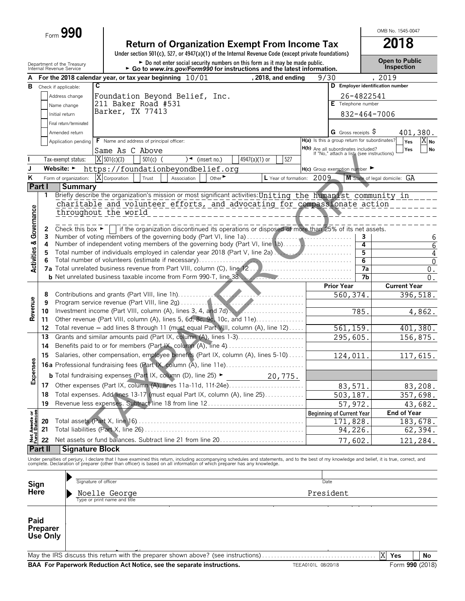|                                    |         | Form $990$                                             |                                                                                                                                                                                                                                                                                                                          |                                                                                          |                 | OMB No. 1545-0047                   |
|------------------------------------|---------|--------------------------------------------------------|--------------------------------------------------------------------------------------------------------------------------------------------------------------------------------------------------------------------------------------------------------------------------------------------------------------------------|------------------------------------------------------------------------------------------|-----------------|-------------------------------------|
|                                    |         |                                                        | <b>Return of Organization Exempt From Income Tax</b><br>Under section 501(c), 527, or 4947(a)(1) of the Internal Revenue Code (except private foundations)                                                                                                                                                               |                                                                                          |                 | 2018                                |
|                                    |         | Department of the Treasury<br>Internal Revenue Service | Do not enter social security numbers on this form as it may be made public.<br>Go to www.irs.gov/Form990 for instructions and the latest information.                                                                                                                                                                    |                                                                                          |                 | <b>Open to Public</b><br>Inspection |
| A                                  |         |                                                        | For the 2018 calendar year, or tax year beginning $10/01$<br>, 2018, and ending                                                                                                                                                                                                                                          | 9/30                                                                                     |                 | 2019                                |
| В                                  |         | C<br>Check if applicable:                              |                                                                                                                                                                                                                                                                                                                          |                                                                                          |                 | D Employer identification number    |
|                                    |         | Address change                                         | Foundation Beyond Belief, Inc.                                                                                                                                                                                                                                                                                           |                                                                                          | 26-4822541      |                                     |
|                                    |         | Name change                                            | 211 Baker Road #531                                                                                                                                                                                                                                                                                                      | E Telephone number                                                                       |                 |                                     |
|                                    |         | Initial return                                         | Barker, TX 77413                                                                                                                                                                                                                                                                                                         |                                                                                          |                 | 832-464-7006                        |
|                                    |         | Final return/terminated                                |                                                                                                                                                                                                                                                                                                                          |                                                                                          |                 |                                     |
|                                    |         | Amended return                                         |                                                                                                                                                                                                                                                                                                                          | G Gross receipts $\varsigma$                                                             |                 | 401,380.                            |
|                                    |         | Application pending                                    | F Name and address of principal officer:                                                                                                                                                                                                                                                                                 | H(a) Is this a group return for subordinates?                                            |                 | X<br>Yes<br><b>No</b>               |
|                                    |         |                                                        | Same As C Above                                                                                                                                                                                                                                                                                                          | <b>H(b)</b> Are all subordinates included?<br>If "No," attach a list. (see instructions) |                 | Yes<br>No                           |
|                                    |         | Tax-exempt status:                                     | $X$ 501(c)(3)<br>527<br>$501(c)$ (<br>$\rightarrow$<br>$4947(a)(1)$ or<br>(insert no.)                                                                                                                                                                                                                                   |                                                                                          |                 |                                     |
| J                                  |         | Website: ►                                             | https://foundationbeyondbelief.org                                                                                                                                                                                                                                                                                       | $H(c)$ Group exemption number $\blacktriangleright$                                      |                 |                                     |
| ĸ                                  |         | Form of organization:                                  | X Corporation<br>Other $\blacktriangleright$<br>Trust<br>Association<br>L Year of formation:                                                                                                                                                                                                                             | 2009                                                                                     |                 | M State of legal domicile: GA       |
|                                    | Part I  | <b>Summary</b>                                         |                                                                                                                                                                                                                                                                                                                          |                                                                                          |                 |                                     |
|                                    | 1       |                                                        | Briefly describe the organization's mission or most significant activities: Uniting the humanist community in                                                                                                                                                                                                            |                                                                                          |                 |                                     |
|                                    |         |                                                        | charitable and volunteer efforts, and advocating for compassionate action                                                                                                                                                                                                                                                |                                                                                          |                 |                                     |
|                                    |         | throughout the world                                   |                                                                                                                                                                                                                                                                                                                          |                                                                                          |                 |                                     |
|                                    |         |                                                        |                                                                                                                                                                                                                                                                                                                          |                                                                                          |                 |                                     |
|                                    | 2       | Check this box $\blacktriangleright$ $\blacksquare$    | if the organization discontinued its operations or disposed of more than 25% of its net assets.                                                                                                                                                                                                                          |                                                                                          |                 |                                     |
|                                    | 3       |                                                        |                                                                                                                                                                                                                                                                                                                          |                                                                                          | 3               | 6                                   |
|                                    | 4       |                                                        | Number of independent voting members of the governing body (Part VI, line 1b)                                                                                                                                                                                                                                            |                                                                                          | 4<br>5          | $\overline{6}$                      |
|                                    | 5       |                                                        | Total number of individuals employed in calendar year 2018 (Part V, line 2a)                                                                                                                                                                                                                                             |                                                                                          | 6               | 4<br>$\overline{0}$                 |
| <b>Activities &amp; Governance</b> |         |                                                        |                                                                                                                                                                                                                                                                                                                          |                                                                                          | 7a              | $0$ .                               |
|                                    |         |                                                        | <b>b</b> Net unrelated business taxable income from Form 990-T, line 38.                                                                                                                                                                                                                                                 |                                                                                          | $\overline{7b}$ | $\overline{0}$ .                    |
|                                    |         |                                                        |                                                                                                                                                                                                                                                                                                                          | <b>Prior Year</b>                                                                        |                 | <b>Current Year</b>                 |
|                                    | 8       |                                                        |                                                                                                                                                                                                                                                                                                                          | 560,374                                                                                  |                 | 396,518.                            |
| Revenue                            | 9       |                                                        |                                                                                                                                                                                                                                                                                                                          |                                                                                          |                 |                                     |
|                                    | 10      |                                                        | Investment income (Part VIII, column (A), lines 3, 4, and 7d).                                                                                                                                                                                                                                                           |                                                                                          | 785.            | 4,862.                              |
|                                    | 11      |                                                        | Other revenue (Part VIII, column (A), lines 5, 6d, 8c, 9c, 10c, and 11e)                                                                                                                                                                                                                                                 |                                                                                          |                 |                                     |
|                                    | 12      |                                                        | Total revenue - add lines 8 through 11 (must equal Part VIII, column (A), line 12)                                                                                                                                                                                                                                       | 561,159.                                                                                 |                 | 401,380.                            |
|                                    | 13      |                                                        | Grants and similar amounts paid (Part IX, column (A), lines 1-3)                                                                                                                                                                                                                                                         | 295,605                                                                                  |                 | 156,875.                            |
|                                    | 14      |                                                        |                                                                                                                                                                                                                                                                                                                          |                                                                                          |                 |                                     |
|                                    | 15      |                                                        | Salaries, other compensation, employee benefits (Part IX, column (A), lines 5-10)                                                                                                                                                                                                                                        | 124,011                                                                                  |                 | 117,615.                            |
|                                    |         |                                                        | 16a Professional fundraising fees (Part IX, column (A), line 11e)                                                                                                                                                                                                                                                        |                                                                                          |                 |                                     |
| Expenses                           |         |                                                        | <b>b</b> Total fundraising expenses (Part IX, column (D), line 25) ►<br>20,775.                                                                                                                                                                                                                                          |                                                                                          |                 |                                     |
|                                    | 17      |                                                        | Other expenses (Part IX, column (A), lines 11a-11d, 11f-24e)                                                                                                                                                                                                                                                             | 83,571.                                                                                  |                 | 83,208.                             |
|                                    | 18      |                                                        | Total expenses. Add lines 13-17 (must equal Part IX, column (A), line 25)                                                                                                                                                                                                                                                | 503,187                                                                                  |                 | 357,698.                            |
|                                    | 19      |                                                        | Revenue less expenses. Subtract line 18 from line 12                                                                                                                                                                                                                                                                     | 57,972                                                                                   |                 | 43,682.                             |
|                                    |         |                                                        |                                                                                                                                                                                                                                                                                                                          | <b>Beginning of Current Year</b>                                                         |                 | <b>End of Year</b>                  |
| : Assets or<br><u>d Balances</u>   | 20      |                                                        |                                                                                                                                                                                                                                                                                                                          | 171,828                                                                                  |                 | 183,678.                            |
|                                    | 21      |                                                        |                                                                                                                                                                                                                                                                                                                          | 94,226.                                                                                  |                 | 62, 394.                            |
| <b>Jered</b>                       | 22      |                                                        | Net assets or fund balances. Subtract line 21 from line 20                                                                                                                                                                                                                                                               | 77,602                                                                                   |                 | 121,284.                            |
|                                    | Part II | <b>Signature Block</b>                                 |                                                                                                                                                                                                                                                                                                                          |                                                                                          |                 |                                     |
|                                    |         |                                                        | Under penalties of perjury, I declare that I have examined this return, including accompanying schedules and statements, and to the best of my knowledge and belief, it is true, correct, and<br>complete. Declaration of preparer (other than officer) is based on all information of which preparer has any knowledge. |                                                                                          |                 |                                     |
|                                    |         |                                                        |                                                                                                                                                                                                                                                                                                                          |                                                                                          |                 |                                     |
| Sign                               |         | Signature of officer                                   |                                                                                                                                                                                                                                                                                                                          | Date                                                                                     |                 |                                     |
| Here                               |         |                                                        | Noelle George                                                                                                                                                                                                                                                                                                            | President                                                                                |                 |                                     |
|                                    |         |                                                        | Type or print name and title                                                                                                                                                                                                                                                                                             |                                                                                          |                 |                                     |

May the IRS discuss this return with the preparer shown above? (see instructions)...............................  $\overline{\mathbf{X}}$ Yes BAA For Paperwork Reduction Act Notice, see the separate instructions. TEEA0101L 08/20/18

Paid<br>Preparer<br>Use Only

**No** Form 990 (2018)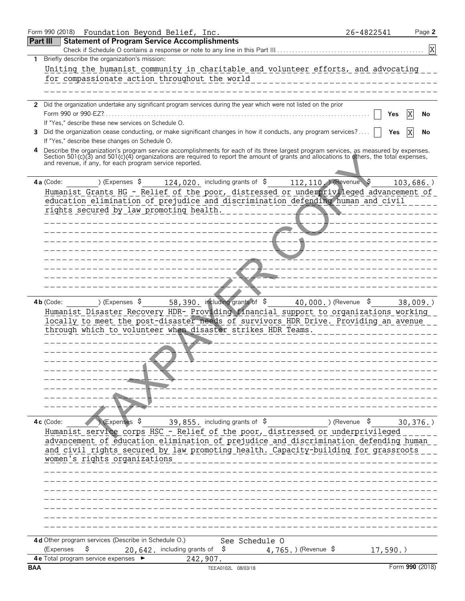|            | Form 990 (2018)<br>Foundation Beyond Belief, Inc.                                                                                                                                                                                                                                                                                                 | 26-4822541    | Page 2          |
|------------|---------------------------------------------------------------------------------------------------------------------------------------------------------------------------------------------------------------------------------------------------------------------------------------------------------------------------------------------------|---------------|-----------------|
|            | <b>Statement of Program Service Accomplishments</b><br><b>Part III</b>                                                                                                                                                                                                                                                                            |               |                 |
|            | Check if Schedule O contains a response or note to any line in this Part III                                                                                                                                                                                                                                                                      |               | X               |
| 1.         | Briefly describe the organization's mission:                                                                                                                                                                                                                                                                                                      |               |                 |
|            | Uniting the humanist community in charitable and volunteer efforts, and advocating                                                                                                                                                                                                                                                                |               |                 |
|            | for compassionate action throughout the world                                                                                                                                                                                                                                                                                                     |               |                 |
|            |                                                                                                                                                                                                                                                                                                                                                   |               |                 |
|            | 2 Did the organization undertake any significant program services during the year which were not listed on the prior                                                                                                                                                                                                                              |               |                 |
|            | Form 990 or 990-EZ?                                                                                                                                                                                                                                                                                                                               |               | ΙX<br>No<br>Yes |
|            | If "Yes," describe these new services on Schedule O.                                                                                                                                                                                                                                                                                              |               |                 |
|            | 3 Did the organization cease conducting, or make significant changes in how it conducts, any program services?                                                                                                                                                                                                                                    |               | Yes<br>No       |
|            | If "Yes," describe these changes on Schedule O.                                                                                                                                                                                                                                                                                                   |               |                 |
|            | 4 Describe the organization's program service accomplishments for each of its three largest program services, as measured by expenses.<br>Section $501(c)(3)$ and $501(c)(4)$ organizations are required to report the amount of grants and allocations to others, the total expenses,<br>and revenue, if any, for each program service reported. |               |                 |
|            | 112, 110 Revenue \$<br>) (Expenses $\frac{124,020}$ , including grants of $\frac{5}{7}$<br>$4a$ (Code:                                                                                                                                                                                                                                            |               | $103,686.$ )    |
|            | Humanist Grants HG - Relief of the poor, distressed or underprivileged advancement of                                                                                                                                                                                                                                                             |               |                 |
|            | education elimination of prejudice and discrimination defending human and civil                                                                                                                                                                                                                                                                   |               |                 |
|            | rights secured by law promoting health.<br>$=$ $ -$                                                                                                                                                                                                                                                                                               |               |                 |
|            |                                                                                                                                                                                                                                                                                                                                                   |               |                 |
|            |                                                                                                                                                                                                                                                                                                                                                   |               |                 |
|            |                                                                                                                                                                                                                                                                                                                                                   |               |                 |
|            |                                                                                                                                                                                                                                                                                                                                                   |               |                 |
|            |                                                                                                                                                                                                                                                                                                                                                   |               |                 |
|            |                                                                                                                                                                                                                                                                                                                                                   |               |                 |
|            |                                                                                                                                                                                                                                                                                                                                                   |               |                 |
|            |                                                                                                                                                                                                                                                                                                                                                   |               |                 |
|            | 58, 390. including grants of \$40, 000. ) (Revenue \$<br>) (Expenses \$<br>$4b$ (Code:                                                                                                                                                                                                                                                            |               | 38,009.         |
|            | Humanist Disaster Recovery HDR- Providing financial support to organizations working                                                                                                                                                                                                                                                              |               |                 |
|            | locally to meet the post-disaster needs of survivors HDR Drive. Providing an avenue                                                                                                                                                                                                                                                               |               |                 |
|            | through which to volunteer when disaster strikes HDR Teams.                                                                                                                                                                                                                                                                                       |               |                 |
|            |                                                                                                                                                                                                                                                                                                                                                   |               |                 |
|            |                                                                                                                                                                                                                                                                                                                                                   |               |                 |
|            |                                                                                                                                                                                                                                                                                                                                                   |               |                 |
|            |                                                                                                                                                                                                                                                                                                                                                   |               |                 |
|            |                                                                                                                                                                                                                                                                                                                                                   |               |                 |
|            |                                                                                                                                                                                                                                                                                                                                                   |               |                 |
|            |                                                                                                                                                                                                                                                                                                                                                   |               |                 |
|            |                                                                                                                                                                                                                                                                                                                                                   |               |                 |
|            | 4c (Code:<br>39,855. including grants of \$<br>$\angle$ (Expenses $\angle$                                                                                                                                                                                                                                                                        | ) (Revenue \$ | 30, 376.        |
|            | Humanist service corps HSC - Relief of the poor, distressed or underprivileged                                                                                                                                                                                                                                                                    |               |                 |
|            | advancement of education elimination of prejudice and discrimination defending human                                                                                                                                                                                                                                                              |               |                 |
|            | and civil rights secured by law promoting health. Capacity-building for grassroots                                                                                                                                                                                                                                                                |               |                 |
|            | women's rights organizations                                                                                                                                                                                                                                                                                                                      |               |                 |
|            |                                                                                                                                                                                                                                                                                                                                                   |               |                 |
|            |                                                                                                                                                                                                                                                                                                                                                   |               |                 |
|            |                                                                                                                                                                                                                                                                                                                                                   |               |                 |
|            |                                                                                                                                                                                                                                                                                                                                                   |               |                 |
|            |                                                                                                                                                                                                                                                                                                                                                   |               |                 |
|            |                                                                                                                                                                                                                                                                                                                                                   |               |                 |
|            |                                                                                                                                                                                                                                                                                                                                                   |               |                 |
|            | 4d Other program services (Describe in Schedule O.)<br>See Schedule O                                                                                                                                                                                                                                                                             |               |                 |
|            | (Expenses<br>S<br>20,642. including grants of<br>Ş<br>$4,765.$ ) (Revenue \$                                                                                                                                                                                                                                                                      | 17,590.       |                 |
| <b>BAA</b> | 4 e Total program service expenses ><br>242,907.<br>TEEA0102L 08/03/18                                                                                                                                                                                                                                                                            |               | Form 990 (2018) |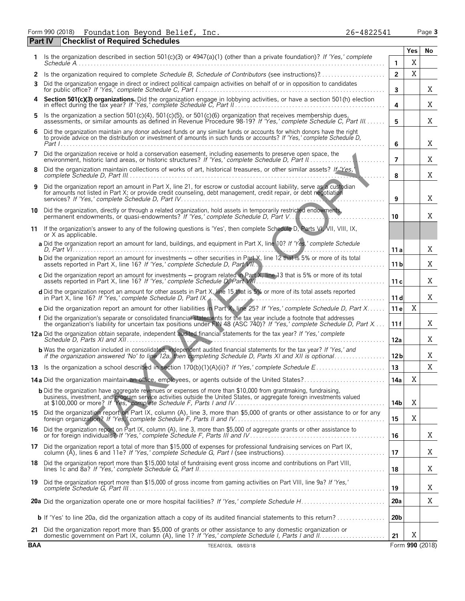Form 990 (2018) Foundation Beyond Belief, Inc.<br>Part IV Checklist of Required Schedules

| 26-4822541 | Page 3 |
|------------|--------|
|            |        |

|     |                                                                                                                                                                                                                                                              |                 | Yes | No     |
|-----|--------------------------------------------------------------------------------------------------------------------------------------------------------------------------------------------------------------------------------------------------------------|-----------------|-----|--------|
|     | 1 Is the organization described in section 501(c)(3) or $4947(a)(1)$ (other than a private foundation)? If 'Yes,' complete<br>$S$ chedule $A$                                                                                                                | 1               | Χ   |        |
| 2   | Is the organization required to complete Schedule B, Schedule of Contributors (see instructions)?                                                                                                                                                            | $\overline{2}$  | X   |        |
| 3   | Did the organization engage in direct or indirect political campaign activities on behalf of or in opposition to candidates                                                                                                                                  | 3               |     | X      |
| 4   | Section 501(c)(3) organizations. Did the organization engage in lobbying activities, or have a section 501(h) election in effect during the tax year? If 'Yes,' complete Schedule C, Part II                                                                 | 4               |     | Χ      |
| 5   | Is the organization a section $501(c)(4)$ , $501(c)(5)$ , or $501(c)(6)$ organization that receives membership dues,<br>assessments, or similar amounts as defined in Revenue Procedure 98-19? If 'Yes,' complete Schedule C, Part III.                      | 5               |     | X      |
| 6   | Did the organization maintain any donor advised funds or any similar funds or accounts for which donors have the right<br>to provide advice on the distribution or investment of amounts in such funds or accounts? If 'Yes,' complete Schedule D,<br>Part 1 | 6               |     | X      |
| 7   | Did the organization receive or hold a conservation easement, including easements to preserve open space, the<br>environment, historic land areas, or historic structures? If 'Yes,' complete Schedule D, Part II                                            | $\overline{7}$  |     | X      |
| 8   | Did the organization maintain collections of works of art, historical treasures, or other similar assets? If 'Yes,'                                                                                                                                          | 8               |     | Χ      |
| 9   | Did the organization report an amount in Part X, line 21, for escrow or custodial account liability, serve as a custodian<br>for amounts not listed in Part X; or provide credit counseling, debt management, credit repair, or debt negotiation             | 9               |     | X      |
| 10  | Did the organization, directly or through a related organization, hold assets in temporarily restricted endowments,<br>permanent endowments, or quasi-endowments? If 'Yes,' complete Schedule D. Part V.                                                     | 10              |     | X      |
| 11  | If the organization's answer to any of the following questions is 'Yes', then complete Schedule D. Parts VI. VII, VIII, IX.<br>or X as applicable.                                                                                                           |                 |     |        |
|     | a Did the organization report an amount for land, buildings, and equipment in Part X, line 10? If 'Yes,' complete Schedule                                                                                                                                   | 11 a            |     | Χ      |
|     | <b>b</b> Did the organization report an amount for investments – other securities in Part X, line 12 that is 5% or more of its total<br>assets reported in Part X, line 16? If 'Yes,' complete Schedule D, Part VII.                                         | 11 <sub>b</sub> |     | Χ      |
|     | c Did the organization report an amount for investments – program related in Part X, line 13 that is 5% or more of its total                                                                                                                                 | 11 c            |     | Χ      |
|     | d Did the organization report an amount for other assets in Part X, line 15 that is 5% or more of its total assets reported<br>in Part X, line 16? If 'Yes,' complete Schedule D, Part IX.                                                                   | 11d             |     | Χ      |
|     | e Did the organization report an amount for other liabilities in Part X, line 25? If 'Yes,' complete Schedule D, Part X                                                                                                                                      | 11e             | Χ   |        |
|     | f Did the organization's separate or consolidated financial statements for the tax year include a footnote that addresses<br>the organization's liability for uncertain tax positions under FIN 48 (ASC 740)? If 'Yes,' complete Schedule D, Part X          | 11 f            |     | X      |
|     | 12a Did the organization obtain separate, independent audited financial statements for the tax year? If 'Yes,' complete                                                                                                                                      | 12a             |     | X      |
|     | <b>b</b> Was the organization included in consolidated, independent audited financial statements for the tax year? If 'Yes,' and<br>if the organization answered 'No' to line 12a, then completing Schedule D, Parts XI and XII is optional                  | 12 <sub>b</sub> |     | X      |
|     | 13 Is the organization a school described in section 170(b)(1)(A)(ii)? If 'Yes,' complete Schedule E                                                                                                                                                         | 13              |     | X      |
|     |                                                                                                                                                                                                                                                              | 14a             | Χ   |        |
|     | <b>b</b> Did the organization have aggregate revenues or expenses of more than \$10,000 from grantmaking, fundraising,<br>business, investment, and program service activities outside the United States, or aggregate foreign investments valued            | 14b             | X   |        |
| 15  | Did the organization report on Part IX, column (A), line 3, more than \$5,000 of grants or other assistance to or for any                                                                                                                                    | 15              | X   |        |
| 16  | Did the organization report on Part IX, column (A), line 3, more than \$5,000 of aggregate grants or other assistance to or for foreign individuals? If 'Yes,' complete Schedule F, Parts III and IV                                                         | 16              |     | X      |
| 17. | Did the organization report a total of more than \$15,000 of expenses for professional fundraising services on Part IX,                                                                                                                                      | 17              |     | X      |
|     | 18 Did the organization report more than \$15,000 total of fundraising event gross income and contributions on Part VIII,                                                                                                                                    | 18              |     | Χ      |
|     | 19 Did the organization report more than \$15,000 of gross income from gaming activities on Part VIII, line 9a? If 'Yes,'                                                                                                                                    |                 |     |        |
|     |                                                                                                                                                                                                                                                              | 19<br>20a       |     | X<br>Χ |
|     |                                                                                                                                                                                                                                                              |                 |     |        |
|     |                                                                                                                                                                                                                                                              | 20 <sub>b</sub> |     |        |
|     | 21 Did the organization report more than \$5,000 of grants or other assistance to any domestic organization or<br>domestic government on Part IX, column (A), line 1? If 'Yes,' complete Schedule I, Parts I and II.                                         | 21              | X   |        |

**BAA** 

TEEA0103L 08/03/18

Form 990 (2018)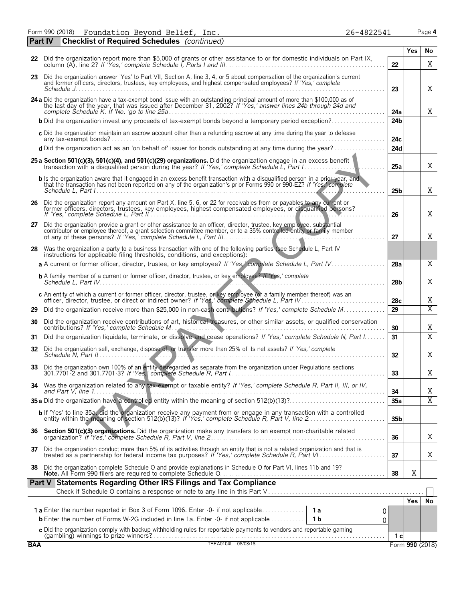Form 990 (2018) Foundation Beyond Belief, Inc.<br>**Part IV Checklist of Required Schedules** (continued)

|            | Γαιιν<br>Critechist of Regulied Scrituates (continued)                                                                                                                                                                                      |                        |                 |                         |
|------------|---------------------------------------------------------------------------------------------------------------------------------------------------------------------------------------------------------------------------------------------|------------------------|-----------------|-------------------------|
|            | 22 Did the organization report more than \$5,000 of grants or other assistance to or for domestic individuals on Part IX,                                                                                                                   |                        | Yes             | No                      |
| 23         | Did the organization answer 'Yes' to Part VII, Section A, line 3, 4, or 5 about compensation of the organization's current                                                                                                                  | 22                     |                 | X                       |
|            | and former officers, directors, trustees, key employees, and highest compensated employees? If 'Yes,' complete                                                                                                                              | 23                     |                 | X                       |
|            | 24 a Did the organization have a tax-exempt bond issue with an outstanding principal amount of more than \$100,000 as of<br>the last day of the year, that was issued after December 31, 2002? If 'Yes,' answer lines 24b through 24d and   |                        |                 |                         |
|            | <b>b</b> Did the organization invest any proceeds of tax-exempt bonds beyond a temporary period exception?                                                                                                                                  | 24a<br>24 <sub>b</sub> |                 | X                       |
|            | c Did the organization maintain an escrow account other than a refunding escrow at any time during the year to defease                                                                                                                      |                        |                 |                         |
|            | d Did the organization act as an 'on behalf of' issuer for bonds outstanding at any time during the year?                                                                                                                                   | 24c<br>24d             |                 |                         |
|            | 25 a Section 501(c)(3), 501(c)(4), and 501(c)(29) organizations. Did the organization engage in an excess benefit                                                                                                                           |                        |                 | X                       |
|            | transaction with a disqualified person during the year? If 'Yes,' complete Schedule L, Part I<br><b>b</b> Is the organization aware that it engaged in an excess benefit transaction with a disgualified person in a prior year, and        | 25a                    |                 |                         |
|            | that the transaction has not been reported on any of the organization's prior Forms 990 or 990-EZ? If 'Yes,' complete                                                                                                                       | 25 <sub>b</sub>        |                 | X                       |
| 26         | Did the organization report any amount on Part X, line 5, 6, or 22 for receivables from or payables to any current or<br>former officers, directors, trustees, key employees, highest compensated employees, or disqualified persons?       | 26                     |                 | X                       |
| 27         | Did the organization provide a grant or other assistance to an officer, director, trustee, key employee, substantial<br>contributor or employee thereof, a grant selection committee member, or to a 35% controlled entity or family member |                        |                 |                         |
|            |                                                                                                                                                                                                                                             | 27                     |                 | X                       |
| 28         | Was the organization a party to a business transaction with one of the following parties (see Schedule L, Part IV<br>instructions for applicable filing thresholds, conditions, and exceptions):                                            |                        |                 |                         |
|            | a A current or former officer, director, trustee, or key employee? If 'Yes,' complete Schedule L, Part IV                                                                                                                                   | 28a                    |                 | X                       |
|            | <b>b</b> A family member of a current or former officer, director, trustee, or key employee? If 'Yes,' complete                                                                                                                             | 28 <sub>b</sub>        |                 | Χ                       |
|            | c An entity of which a current or former officer, director, trustee, or key employee (or a family member thereof) was an                                                                                                                    | 28c                    |                 | Χ                       |
| 29         | Did the organization receive more than \$25,000 in non-cash contributions? If 'Yes,' complete Schedule M                                                                                                                                    | 29                     |                 | $\overline{X}$          |
| 30         | Did the organization receive contributions of art, historical treasures, or other similar assets, or qualified conservation                                                                                                                 | 30                     |                 | Χ                       |
| 31         | Did the organization liquidate, terminate, or dissolve and cease operations? If 'Yes,' complete Schedule N, Part I                                                                                                                          | 31                     |                 | $\overline{\mathrm{X}}$ |
|            | 32 Did the organization sell, exchange, dispose of, or transfer more than 25% of its net assets? If 'Yes,' complete                                                                                                                         | 32                     |                 | Χ                       |
| 33         | Did the organization own 100% of an entity disregarded as separate from the organization under Regulations sections                                                                                                                         | 33                     |                 | Χ                       |
| 34         | Was the organization related to any tax-exempt or taxable entity? If 'Yes,' complete Schedule R, Part II, III, or IV,                                                                                                                       | 34                     |                 | X                       |
|            |                                                                                                                                                                                                                                             | 35a                    |                 | $\overline{X}$          |
|            | b If 'Yes' to line 35a, did the organization receive any payment from or engage in any transaction with a controlled<br>entity within the meaning of section 512(b)(13)? If 'Yes,' complete Schedule R, Part V, line 2                      | 35 <sub>b</sub>        |                 |                         |
|            | 36 Section 501(c)(3) organizations. Did the organization make any transfers to an exempt non-charitable related                                                                                                                             | 36                     |                 | Χ                       |
| 37         | Did the organization conduct more than 5% of its activities through an entity that is not a related organization and that is<br>treated as a partnership for federal income tax purposes? If 'Yes,' complete Schedule R, Part VI            | 37                     |                 | Χ                       |
| 38         | Did the organization complete Schedule O and provide explanations in Schedule O for Part VI, lines 11b and 19?                                                                                                                              | 38                     | Χ               |                         |
|            | <b>Statements Regarding Other IRS Filings and Tax Compliance</b><br>Part V                                                                                                                                                                  |                        |                 |                         |
|            |                                                                                                                                                                                                                                             |                        |                 |                         |
|            |                                                                                                                                                                                                                                             |                        | Yes l           | No                      |
|            | <b>1a</b> Enter the number reported in Box 3 of Form 1096. Enter -0- if not applicable<br>1a<br>0<br><b>b</b> Enter the number of Forms W-2G included in line 1a. Enter -0- if not applicable<br>1 b<br>$\overline{0}$                      |                        |                 |                         |
|            | c Did the organization comply with backup withholding rules for reportable payments to vendors and reportable gaming                                                                                                                        |                        |                 |                         |
| <b>RAA</b> | TEEA0104L 08/03/18                                                                                                                                                                                                                          | 1 с                    | Form 990 (2018) |                         |

Page  $4$ 26-4822541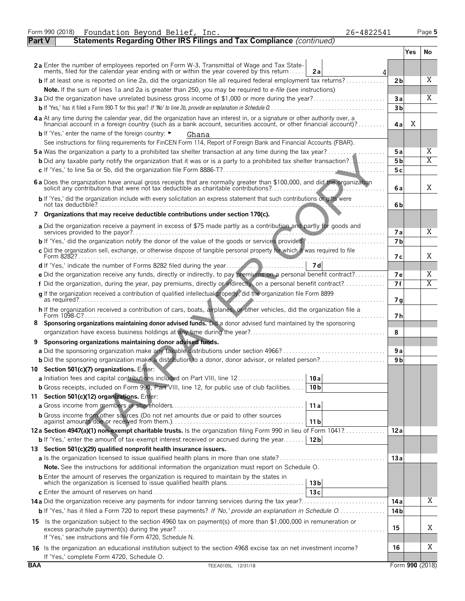| Form 990 (2018) Foundation Beyond Belief, Inc.<br>26-4822541                                                                                                                                                                                     |                |      | Page 5 |
|--------------------------------------------------------------------------------------------------------------------------------------------------------------------------------------------------------------------------------------------------|----------------|------|--------|
| Statements Regarding Other IRS Filings and Tax Compliance (continued)<br>Part V                                                                                                                                                                  |                |      |        |
|                                                                                                                                                                                                                                                  |                | Yes. | No     |
|                                                                                                                                                                                                                                                  |                |      |        |
| 2a Enter the number of employees reported on Form W-3, Transmittal of Wage and Tax Statements, filed for the calendar year ending with or within the year covered by this return<br>2a                                                           |                |      |        |
| $\mathbf b$ If at least one is reported on line 2a, did the organization file all required federal employment tax returns?                                                                                                                       | 2 <sub>b</sub> |      | Χ      |
| Note. If the sum of lines 1a and 2a is greater than 250, you may be required to e-file (see instructions)                                                                                                                                        |                |      |        |
| 3a Did the organization have unrelated business gross income of \$1,000 or more during the year?                                                                                                                                                 | Зa             |      | Χ      |
|                                                                                                                                                                                                                                                  | 3 <sub>b</sub> |      |        |
| 4a At any time during the calendar year, did the organization have an interest in, or a signature or other authority over, a<br>financial account in a foreign country (such as a bank account, securities account, or other financial account)? | 4 a            | Χ    |        |
| b If 'Yes,' enter the name of the foreign country: ►<br>Ghana                                                                                                                                                                                    |                |      |        |
| See instructions for filing requirements for FinCEN Form 114, Report of Foreign Bank and Financial Accounts (FBAR).                                                                                                                              |                |      |        |
| <b>5a</b> Was the organization a party to a prohibited tax shelter transaction at any time during the tax year?                                                                                                                                  | 5а             |      | X      |
| <b>b</b> Did any taxable party notify the organization that it was or is a party to a prohibited tax shelter transaction?.                                                                                                                       | 5 <sub>b</sub> |      | Χ      |
|                                                                                                                                                                                                                                                  | 5с             |      |        |
| 6 a Does the organization have annual gross receipts that are normally greater than \$100,000, and did the organization<br>solicit any contributions that were not tax deductible as charitable contributions?                                   | 6а             |      | X      |
| b If 'Yes,' did the organization include with every solicitation an express statement that such contributions or gifts were                                                                                                                      | 6b             |      |        |
| 7 Organizations that may receive deductible contributions under section 170(c).                                                                                                                                                                  |                |      |        |
| a Did the organization receive a payment in excess of \$75 made partly as a contribution and partly for goods and                                                                                                                                | 7а             |      | Χ      |
|                                                                                                                                                                                                                                                  | 7 <sub>b</sub> |      |        |
| c Did the organization sell, exchange, or otherwise dispose of tangible personal property for which it was required to file                                                                                                                      |                |      |        |
|                                                                                                                                                                                                                                                  | 7 с            |      | Χ      |
| 7 d                                                                                                                                                                                                                                              |                |      |        |
| e Did the organization receive any funds, directly or indirectly, to pay premiums on a personal benefit contract?                                                                                                                                | 7e             |      | Χ<br>Χ |
| f Did the organization, during the year, pay premiums, directly or indirectly, on a personal benefit contract?                                                                                                                                   | 7f             |      |        |
| g If the organization received a contribution of qualified intellectual property, did the organization file Form 8899                                                                                                                            | 7 g            |      |        |
| h If the organization received a contribution of cars, boats, airplanes, or other vehicles, did the organization file a                                                                                                                          | 7 h            |      |        |
| 8 Sponsoring organizations maintaining donor advised funds. Did a donor advised fund maintained by the sponsoring                                                                                                                                |                |      |        |
|                                                                                                                                                                                                                                                  | 8              |      |        |
| 9 Sponsoring organizations maintaining donor advised funds.                                                                                                                                                                                      |                |      |        |
|                                                                                                                                                                                                                                                  | 9а             |      |        |
| <b>b</b> Did the sponsoring organization make a distribution to a donor, donor advisor, or related person?                                                                                                                                       | 9 <sub>b</sub> |      |        |
| 10 Section 501(c)(7) organizations. Enter:                                                                                                                                                                                                       |                |      |        |
| a Initiation fees and capital contributions included on Part VIII, line 12<br>10a                                                                                                                                                                |                |      |        |
| <b>b</b> Gross receipts, included on Form 990, Part VIII, line 12, for public use of club facilities<br>10 <sub>b</sub>                                                                                                                          |                |      |        |
| 11 Section 501(c)(12) organizations. Enter:                                                                                                                                                                                                      |                |      |        |
| 11a                                                                                                                                                                                                                                              |                |      |        |
| 11 <sub>b</sub>                                                                                                                                                                                                                                  |                |      |        |
| 12a Section 4947(a)(1) non-exempt charitable trusts. Is the organization filing Form 990 in lieu of Form 1041?                                                                                                                                   | 12a            |      |        |
| <b>b</b> If 'Yes,' enter the amount of tax-exempt interest received or accrued during the year<br>12 <sub>b</sub>                                                                                                                                |                |      |        |
| 13 Section 501(c)(29) qualified nonprofit health insurance issuers.                                                                                                                                                                              |                |      |        |
|                                                                                                                                                                                                                                                  | 13a            |      |        |
| Note. See the instructions for additional information the organization must report on Schedule O.                                                                                                                                                |                |      |        |
| 13 <sub>b</sub>                                                                                                                                                                                                                                  |                |      |        |
| 13c                                                                                                                                                                                                                                              |                |      |        |
| 14a Did the organization receive any payments for indoor tanning services during the tax year?                                                                                                                                                   | 14 a           |      | X      |
|                                                                                                                                                                                                                                                  | 14 b           |      |        |
| 15 Is the organization subject to the section 4960 tax on payment(s) of more than \$1,000,000 in remuneration or                                                                                                                                 |                |      |        |
|                                                                                                                                                                                                                                                  | 15             |      | X      |
| If 'Yes,' see instructions and file Form 4720, Schedule N.                                                                                                                                                                                       |                |      |        |
| 16 Is the organization an educational institution subject to the section 4968 excise tax on net investment income?<br>If 'Yes,' complete Form 4720, Schedule O.                                                                                  | 16             |      | Χ      |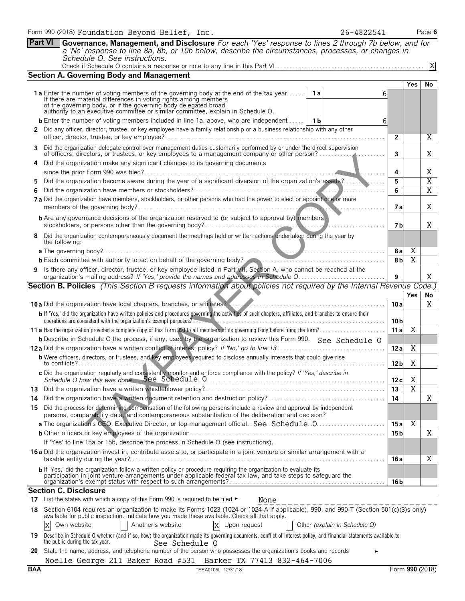|        | <b>Part VI</b><br>Governance, Management, and Disclosure For each 'Yes' response to lines 2 through 7b below, and for<br>a 'No' response to line 8a, 8b, or 10b below, describe the circumstances, processes, or changes in                                                                                                              |                 |                |                     |
|--------|------------------------------------------------------------------------------------------------------------------------------------------------------------------------------------------------------------------------------------------------------------------------------------------------------------------------------------------|-----------------|----------------|---------------------|
|        | Schedule O. See instructions.                                                                                                                                                                                                                                                                                                            |                 |                | X                   |
|        | Section A. Governing Body and Management                                                                                                                                                                                                                                                                                                 |                 |                |                     |
|        |                                                                                                                                                                                                                                                                                                                                          |                 | <b>Yes</b>     | No                  |
|        | <b>1a</b> Enter the number of voting members of the governing body at the end of the tax year<br><b>1a</b><br>If there are material differences in voting rights among members<br>of the governing body, or if the governing body delegated broad authority to an executive committee or similar committee, explain in Schedule O.       | 6               |                |                     |
|        | <b>b</b> Enter the number of voting members included in line 1a, above, who are independent    1b                                                                                                                                                                                                                                        | 6               |                |                     |
|        | 2 Did any officer, director, trustee, or key employee have a family relationship or a business relationship with any other                                                                                                                                                                                                               | 2               |                | Χ                   |
| 3      | Did the organization delegate control over management duties customarily performed by or under the direct supervision                                                                                                                                                                                                                    | 3               |                | X                   |
|        | Did the organization make any significant changes to its governing documents                                                                                                                                                                                                                                                             |                 |                |                     |
|        |                                                                                                                                                                                                                                                                                                                                          | 4               |                | Χ<br>$\overline{X}$ |
| 5<br>6 |                                                                                                                                                                                                                                                                                                                                          | 5<br>6          |                | $\overline{X}$      |
|        | 7 a Did the organization have members, stockholders, or other persons who had the power to elect or appoint one or more                                                                                                                                                                                                                  |                 |                |                     |
|        | <b>b</b> Are any governance decisions of the organization reserved to (or subject to approval by) members,                                                                                                                                                                                                                               | 7а              |                | X                   |
|        |                                                                                                                                                                                                                                                                                                                                          | 7 b             |                | X                   |
| 8      | Did the organization contemporaneously document the meetings held or written actions undertaken during the year by<br>the following:                                                                                                                                                                                                     |                 |                |                     |
|        |                                                                                                                                                                                                                                                                                                                                          | 8 a             | Χ              |                     |
|        | <b>b</b> Each committee with authority to act on behalf of the governing body?                                                                                                                                                                                                                                                           | 8 <sub>b</sub>  | $\overline{X}$ |                     |
|        | 9 Is there any officer, director, trustee, or key employee listed in Part VII, Section A, who cannot be reached at the                                                                                                                                                                                                                   | 9               |                | X                   |
|        | Section B. Policies (This Section B requests information about policies not required by the Internal Revenue Code.)                                                                                                                                                                                                                      |                 |                |                     |
|        |                                                                                                                                                                                                                                                                                                                                          |                 | Yes            | No                  |
|        |                                                                                                                                                                                                                                                                                                                                          | 10a             |                | $\overline{X}$      |
|        | b If 'Yes,' did the organization have written policies and procedures governing the activities of such chapters, affiliates, and branches to ensure their<br>operations are consistent with the organization's exempt purposes?                                                                                                          | 10 <sub>b</sub> |                |                     |
|        |                                                                                                                                                                                                                                                                                                                                          | 11a             | Χ              |                     |
|        | <b>b</b> Describe in Schedule O the process, if any, used by the organization to review this Form 990. See Schedule O                                                                                                                                                                                                                    |                 |                |                     |
|        |                                                                                                                                                                                                                                                                                                                                          | 12a             | X              |                     |
|        | <b>b</b> Were officers, directors, or trustees, and key employees required to disclose annually interests that could give rise                                                                                                                                                                                                           | 12 <sub>b</sub> | Χ              |                     |
|        | c Did the organization regularly and consistently monitor and enforce compliance with the policy? If 'Yes,' describe in                                                                                                                                                                                                                  | 12 c            | Χ              |                     |
| 13     |                                                                                                                                                                                                                                                                                                                                          | 13              | X              |                     |
| 14     |                                                                                                                                                                                                                                                                                                                                          | 14              |                | X                   |
| 15.    | Did the process for determining compensation of the following persons include a review and approval by independent<br>persons, comparability data, and contemporaneous substantiation of the deliberation and decision?                                                                                                                  |                 |                |                     |
|        |                                                                                                                                                                                                                                                                                                                                          | 15 a            | Χ              |                     |
|        |                                                                                                                                                                                                                                                                                                                                          | 15 <sub>b</sub> |                | X                   |
|        | If 'Yes' to line 15a or 15b, describe the process in Schedule O (see instructions).                                                                                                                                                                                                                                                      |                 |                |                     |
|        | <b>16a</b> Did the organization invest in, contribute assets to, or participate in a joint venture or similar arrangement with a                                                                                                                                                                                                         | 16 a            |                | Χ                   |
|        | b If 'Yes,' did the organization follow a written policy or procedure requiring the organization to evaluate its<br>participation in joint venture arrangements under applicable federal tax law, and take steps to safeguard the                                                                                                        | 16 b            |                |                     |
|        | <b>Section C. Disclosure</b>                                                                                                                                                                                                                                                                                                             |                 |                |                     |
| 17     | List the states with which a copy of this Form 990 is required to be filed ►<br>None                                                                                                                                                                                                                                                     |                 |                |                     |
|        | 18 Section 6104 requires an organization to make its Forms 1023 (1024 or 1024-A if applicable), 990, and 990-T (Section 501(c)(3)s only)<br>available for public inspection. Indicate how you made these available. Check all that apply.<br>X<br>Another's website<br>X<br>Own website<br>Upon request<br>Other (explain in Schedule O) |                 |                |                     |
|        | 19 Describe in Schedule O whether (and if so, how) the organization made its governing documents, conflict of interest policy, and financial statements available to<br>the public during the tax year.<br>See Schedule O                                                                                                                |                 |                |                     |
|        | 20 State the name, address, and telephone number of the person who possesses the organization's books and records                                                                                                                                                                                                                        |                 |                |                     |

| $\Box$ $\Box$ which individual decision is not completely the first policy. This possesses the organization shooties and records |  |  |
|----------------------------------------------------------------------------------------------------------------------------------|--|--|
| Noelle George 211 Baker Road #531 Barker TX 77413 832-464-7006                                                                   |  |  |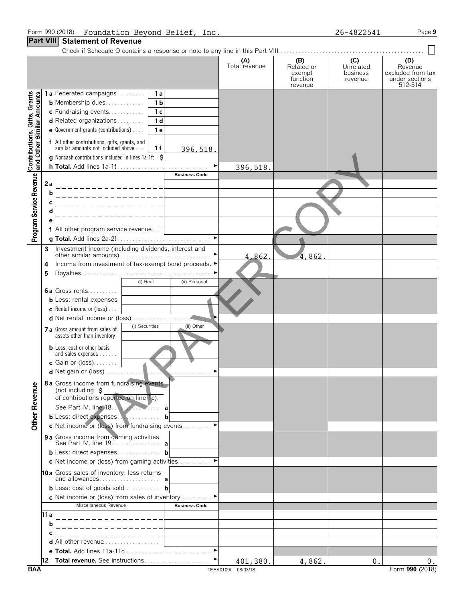|                                                           | $\Gamma$ art VIII                                               | Statement of Revenue                                                              |                |                |                                                     |                      |                                                    |                                         |                                                                  |
|-----------------------------------------------------------|-----------------------------------------------------------------|-----------------------------------------------------------------------------------|----------------|----------------|-----------------------------------------------------|----------------------|----------------------------------------------------|-----------------------------------------|------------------------------------------------------------------|
|                                                           |                                                                 |                                                                                   |                |                |                                                     | (A)<br>Total revenue | (B)<br>Related or<br>exempt<br>function<br>revenue | (C)<br>Unrelated<br>business<br>revenue | (D)<br>Revenue<br>excluded from tax<br>under sections<br>512-514 |
|                                                           | 1a Federated campaigns                                          |                                                                                   |                | 1a             |                                                     |                      |                                                    |                                         |                                                                  |
|                                                           | <b>b</b> Membership dues                                        |                                                                                   |                | 1 <sub>b</sub> |                                                     |                      |                                                    |                                         |                                                                  |
|                                                           | c Fundraising events                                            |                                                                                   |                | 1 <sub>c</sub> |                                                     |                      |                                                    |                                         |                                                                  |
|                                                           | d Related organizations                                         |                                                                                   |                | 1 <sub>d</sub> |                                                     |                      |                                                    |                                         |                                                                  |
|                                                           | e Government grants (contributions)                             |                                                                                   |                | 1 <sub>e</sub> |                                                     |                      |                                                    |                                         |                                                                  |
| Contributions, Gifts, Grants<br>and Other Similar Amounts |                                                                 | All other contributions, gifts, grants, and<br>similar amounts not included above |                | 1f             | 396,518.                                            |                      |                                                    |                                         |                                                                  |
|                                                           | g Noncash contributions included in lines 1a-1f: \$             |                                                                                   |                |                |                                                     |                      |                                                    |                                         |                                                                  |
|                                                           |                                                                 |                                                                                   |                |                | $\blacktriangleright$                               | 396,518.             |                                                    |                                         |                                                                  |
| Program Service Revenue                                   |                                                                 |                                                                                   |                |                | <b>Business Code</b>                                |                      |                                                    |                                         |                                                                  |
|                                                           | 2a                                                              |                                                                                   |                |                |                                                     |                      |                                                    |                                         |                                                                  |
|                                                           | b                                                               |                                                                                   |                |                |                                                     |                      |                                                    |                                         |                                                                  |
|                                                           |                                                                 |                                                                                   |                |                |                                                     |                      |                                                    |                                         |                                                                  |
|                                                           |                                                                 |                                                                                   |                |                |                                                     |                      |                                                    |                                         |                                                                  |
|                                                           |                                                                 |                                                                                   |                |                |                                                     |                      |                                                    |                                         |                                                                  |
|                                                           | f All other program service revenue                             |                                                                                   |                |                | $\blacktriangleright$                               |                      |                                                    |                                         |                                                                  |
|                                                           |                                                                 |                                                                                   |                |                |                                                     |                      |                                                    |                                         |                                                                  |
|                                                           | 3                                                               | Investment income (including dividends, interest and                              |                |                |                                                     | 4,862.               | 4,862                                              |                                         |                                                                  |
|                                                           | 4                                                               |                                                                                   |                |                | Income from investment of tax-exempt bond proceeds▶ |                      |                                                    |                                         |                                                                  |
|                                                           | 5                                                               |                                                                                   |                |                |                                                     |                      |                                                    |                                         |                                                                  |
|                                                           |                                                                 |                                                                                   | (i) Real       |                | (ii) Personal                                       |                      |                                                    |                                         |                                                                  |
|                                                           | <b>6a</b> Gross rents                                           |                                                                                   |                |                |                                                     |                      |                                                    |                                         |                                                                  |
|                                                           | <b>b</b> Less: rental expenses                                  |                                                                                   |                |                |                                                     |                      |                                                    |                                         |                                                                  |
|                                                           | <b>c</b> Rental income or (loss) $\ldots$                       |                                                                                   |                |                |                                                     |                      |                                                    |                                         |                                                                  |
|                                                           |                                                                 |                                                                                   |                |                |                                                     |                      |                                                    |                                         |                                                                  |
|                                                           | <b>7 a</b> Gross amount from sales of                           |                                                                                   | (i) Securities |                | (ii) Other                                          |                      |                                                    |                                         |                                                                  |
|                                                           | assets other than inventory                                     |                                                                                   |                |                |                                                     |                      |                                                    |                                         |                                                                  |
|                                                           | <b>b</b> Less: cost or other basis                              |                                                                                   |                |                |                                                     |                      |                                                    |                                         |                                                                  |
|                                                           | and sales expenses                                              |                                                                                   |                |                |                                                     |                      |                                                    |                                         |                                                                  |
|                                                           | c Gain or $(\text{loss})$                                       |                                                                                   |                |                |                                                     |                      |                                                    |                                         |                                                                  |
|                                                           |                                                                 |                                                                                   |                |                |                                                     |                      |                                                    |                                         |                                                                  |
|                                                           | 8 a Gross income from fundraising events                        |                                                                                   |                |                |                                                     |                      |                                                    |                                         |                                                                  |
|                                                           | (not including $\sharp$                                         | of contributions reported on line 1c).                                            |                |                |                                                     |                      |                                                    |                                         |                                                                  |
|                                                           |                                                                 | See Part IV, line 18.                                                             |                |                |                                                     |                      |                                                    |                                         |                                                                  |
|                                                           | b Less: direct expenses                                         |                                                                                   |                | b              |                                                     |                      |                                                    |                                         |                                                                  |
| <b>Other Revenue</b>                                      |                                                                 |                                                                                   |                |                | c Net income or (loss) from fundraising events      |                      |                                                    |                                         |                                                                  |
|                                                           | 9a Gross income from gaming activities.                         |                                                                                   |                |                |                                                     |                      |                                                    |                                         |                                                                  |
|                                                           | <b>b</b> Less: direct expenses <b>b</b>                         |                                                                                   |                |                |                                                     |                      |                                                    |                                         |                                                                  |
|                                                           |                                                                 |                                                                                   |                |                | c Net income or (loss) from gaming activities ►     |                      |                                                    |                                         |                                                                  |
|                                                           | 10a Gross sales of inventory, less returns                      |                                                                                   |                |                |                                                     |                      |                                                    |                                         |                                                                  |
|                                                           |                                                                 |                                                                                   |                |                |                                                     |                      |                                                    |                                         |                                                                  |
|                                                           | <b>b</b> Less: cost of goods sold                               |                                                                                   |                | b              |                                                     |                      |                                                    |                                         |                                                                  |
|                                                           |                                                                 |                                                                                   |                |                | c Net income or (loss) from sales of inventory      |                      |                                                    |                                         |                                                                  |
|                                                           |                                                                 | Miscellaneous Revenue                                                             |                |                | <b>Business Code</b>                                |                      |                                                    |                                         |                                                                  |
|                                                           | 11 a                                                            |                                                                                   |                |                |                                                     |                      |                                                    |                                         |                                                                  |
|                                                           | b                                                               |                                                                                   |                |                |                                                     |                      |                                                    |                                         |                                                                  |
|                                                           | С                                                               | _ _ _ _ _ _ _ _ _ _ _ _ _ _                                                       |                |                |                                                     |                      |                                                    |                                         |                                                                  |
|                                                           | <b>d</b> All other revenue $\ldots \ldots \ldots \ldots \ldots$ |                                                                                   |                |                |                                                     |                      |                                                    |                                         |                                                                  |
|                                                           |                                                                 |                                                                                   |                |                | $\blacktriangleright$                               |                      |                                                    |                                         |                                                                  |
|                                                           | 12                                                              |                                                                                   |                |                | Total revenue. See instructions                     | 401,380.             | 4,862.                                             | 0.                                      | $0$ .                                                            |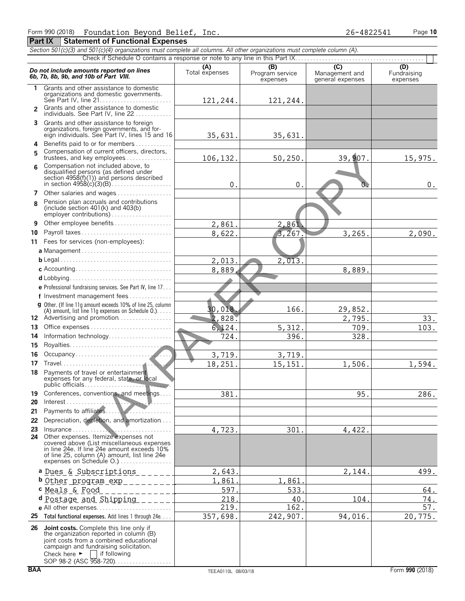| Section 501(c)(3) and 501(c)(4) organizations must complete all columns. All other organizations must complete column (A). |                                                                                                                                                                                                                                                         |                |                             |                                    |                         |  |  |  |  |
|----------------------------------------------------------------------------------------------------------------------------|---------------------------------------------------------------------------------------------------------------------------------------------------------------------------------------------------------------------------------------------------------|----------------|-----------------------------|------------------------------------|-------------------------|--|--|--|--|
|                                                                                                                            | Do not include amounts reported on lines                                                                                                                                                                                                                | (A)            | (B)                         | $\overline{C}$                     | (D)                     |  |  |  |  |
|                                                                                                                            | 6b. 7b. 8b. 9b. and 10b of Part VIII.                                                                                                                                                                                                                   | Total expenses | Program service<br>expenses | Management and<br>general expenses | Fundraising<br>expenses |  |  |  |  |
| 1                                                                                                                          | Grants and other assistance to domestic<br>organizations and domestic governments.                                                                                                                                                                      |                |                             |                                    |                         |  |  |  |  |
|                                                                                                                            |                                                                                                                                                                                                                                                         | 121,244.       | 121,244.                    |                                    |                         |  |  |  |  |
| 2                                                                                                                          | Grants and other assistance to domestic<br>individuals. See Part IV, line 22                                                                                                                                                                            |                |                             |                                    |                         |  |  |  |  |
|                                                                                                                            | 3 Grants and other assistance to foreign<br>organizations, foreign governments, and for-<br>eign individuals. See Part IV, lines 15 and 16                                                                                                              | 35,631.        | 35,631.                     |                                    |                         |  |  |  |  |
| 4                                                                                                                          | Benefits paid to or for members                                                                                                                                                                                                                         |                |                             |                                    |                         |  |  |  |  |
| 5                                                                                                                          | Compensation of current officers, directors,<br>trustees, and key employees                                                                                                                                                                             | 106,132.       | 50, 250.                    | 39,907.                            | 15,975.                 |  |  |  |  |
| 6                                                                                                                          | Compensation not included above, to<br>disqualified persons (as defined under<br>section $4958(f)(1)$ and persons described                                                                                                                             | 0.             | 0.                          | 0.                                 | 0.                      |  |  |  |  |
|                                                                                                                            | 7 Other salaries and wages                                                                                                                                                                                                                              |                |                             |                                    |                         |  |  |  |  |
| 8                                                                                                                          | Pension plan accruals and contributions<br>(include section $401(k)$ and $403(b)$<br>employer contributions)                                                                                                                                            |                |                             |                                    |                         |  |  |  |  |
| 9                                                                                                                          | Other employee benefits                                                                                                                                                                                                                                 | 2,861.         | 2,861                       |                                    |                         |  |  |  |  |
| 10                                                                                                                         | Payroll taxes                                                                                                                                                                                                                                           | 8,622.         | 3,267                       | 3, 265.                            | 2,090.                  |  |  |  |  |
|                                                                                                                            | 11 Fees for services (non-employees):                                                                                                                                                                                                                   |                |                             |                                    |                         |  |  |  |  |
|                                                                                                                            |                                                                                                                                                                                                                                                         | 2,013          | 2,013                       |                                    |                         |  |  |  |  |
|                                                                                                                            |                                                                                                                                                                                                                                                         | 8,889          |                             | 8,889.                             |                         |  |  |  |  |
|                                                                                                                            |                                                                                                                                                                                                                                                         |                |                             |                                    |                         |  |  |  |  |
|                                                                                                                            | e Professional fundraising services. See Part IV, line 17                                                                                                                                                                                               |                |                             |                                    |                         |  |  |  |  |
|                                                                                                                            | f Investment management fees                                                                                                                                                                                                                            |                |                             |                                    |                         |  |  |  |  |
|                                                                                                                            | g Other. (If line 11q amount exceeds 10% of line 25, column                                                                                                                                                                                             |                |                             |                                    |                         |  |  |  |  |
|                                                                                                                            | (A) amount, list line 11g expenses on Schedule $0.$ )                                                                                                                                                                                                   | 30,018.        | 166.                        | 29,852.                            |                         |  |  |  |  |
|                                                                                                                            | 12 Advertising and promotion                                                                                                                                                                                                                            | 2,828.         |                             | 2,795.                             | 33.                     |  |  |  |  |
| 13<br>14                                                                                                                   | Information technology                                                                                                                                                                                                                                  | 6,124.         | 5,312.<br>396.              | 709.                               | 103.                    |  |  |  |  |
| 15                                                                                                                         |                                                                                                                                                                                                                                                         | 724.           |                             | 328.                               |                         |  |  |  |  |
| 16                                                                                                                         |                                                                                                                                                                                                                                                         | 3,719.         | 3,719.                      |                                    |                         |  |  |  |  |
| 17                                                                                                                         |                                                                                                                                                                                                                                                         | 18,251.        | 15, 151.                    | 1,506.                             | 1,594.                  |  |  |  |  |
|                                                                                                                            | 18 Payments of travel or entertainment<br>expenses for any federal, state, or local<br>public officials.                                                                                                                                                |                |                             |                                    |                         |  |  |  |  |
| 19                                                                                                                         | Conferences, conventions, and meetings                                                                                                                                                                                                                  | 381.           |                             | 95.                                | 286.                    |  |  |  |  |
| 20                                                                                                                         |                                                                                                                                                                                                                                                         |                |                             |                                    |                         |  |  |  |  |
| 21                                                                                                                         | Payments to affiliates                                                                                                                                                                                                                                  |                |                             |                                    |                         |  |  |  |  |
| 22                                                                                                                         | Depreciation, depletion, and amortization                                                                                                                                                                                                               |                |                             |                                    |                         |  |  |  |  |
| 23                                                                                                                         | 24 Other expenses. Itemize expenses not                                                                                                                                                                                                                 | 4,723.         | 301.                        | 4,422.                             |                         |  |  |  |  |
|                                                                                                                            | covered above (List miscellaneous expenses<br>in line 24e. If line 24e amount exceeds 10%<br>of line 25, column (A) amount, list line 24e                                                                                                               |                |                             |                                    |                         |  |  |  |  |
|                                                                                                                            | <sup>a</sup> Dues & Subscriptions                                                                                                                                                                                                                       | 2,643.         |                             | 2.144.                             | 499.                    |  |  |  |  |
|                                                                                                                            | b Other program exp_________                                                                                                                                                                                                                            | 1,861          | 1,861                       |                                    |                         |  |  |  |  |
|                                                                                                                            | c Meals & Food<br>$- - - - - - - - -$                                                                                                                                                                                                                   | 597            | 533.                        |                                    | 64.                     |  |  |  |  |
|                                                                                                                            | d Postage and Shipping                                                                                                                                                                                                                                  | 218            | 40.                         | 104.                               | 74.                     |  |  |  |  |
|                                                                                                                            |                                                                                                                                                                                                                                                         | 219.           | 162.                        |                                    | 57.                     |  |  |  |  |
|                                                                                                                            | 25 Total functional expenses. Add lines 1 through 24e                                                                                                                                                                                                   | 357,698.       | 242,907.                    | 94,016.                            | 20,775.                 |  |  |  |  |
|                                                                                                                            | 26 Joint costs. Complete this line only if<br>the organization reported in column (B)<br>joint costs from a combined educational<br>campaign and fundraising solicitation.<br>Check here $\blacktriangleright$   if following<br>SOP 98-2 (ASC 958-720) |                |                             |                                    |                         |  |  |  |  |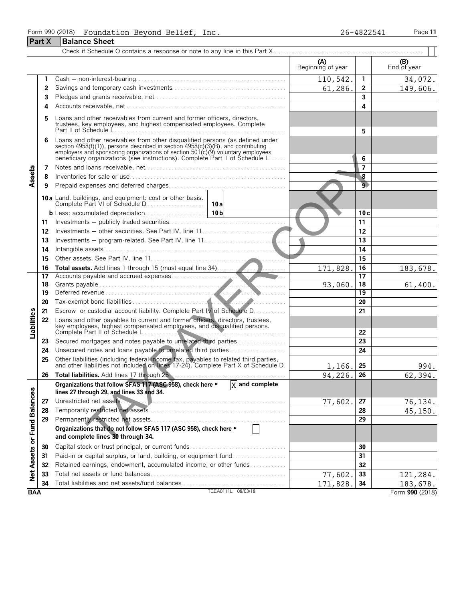# Form 990 (2018) Foundation Beyond Belief, Inc.<br>Part X Balance Sheet

|                             |    |                                                                                                                                                                                                                                                                                                                      | (A)<br>Beginning of year |                         | (B)<br>End of year |
|-----------------------------|----|----------------------------------------------------------------------------------------------------------------------------------------------------------------------------------------------------------------------------------------------------------------------------------------------------------------------|--------------------------|-------------------------|--------------------|
|                             | 1  |                                                                                                                                                                                                                                                                                                                      | 110,542.                 | $\mathbf{1}$            | 34,072.            |
|                             | 2  |                                                                                                                                                                                                                                                                                                                      | 61,286.                  | $\overline{\mathbf{c}}$ | 149,606.           |
|                             | 3  |                                                                                                                                                                                                                                                                                                                      |                          | 3                       |                    |
|                             | 4  |                                                                                                                                                                                                                                                                                                                      |                          | 4                       |                    |
|                             |    |                                                                                                                                                                                                                                                                                                                      |                          |                         |                    |
|                             | 5  | Loans and other receivables from current and former officers, directors, trustees, key employees, and highest compensated employees. Complete                                                                                                                                                                        |                          |                         |                    |
|                             |    |                                                                                                                                                                                                                                                                                                                      |                          | 5                       |                    |
|                             |    | Loans and other receivables from other disqualified persons (as defined under<br>section 4958(f)(1)), persons described in section 4958(c)(3)(B), and contributing<br>employers and sponsoring organizations of section 501(c)(9) voluntary employees'<br>beneficiary organizations (see instructions). Complete Par |                          | 6                       |                    |
|                             | 7  |                                                                                                                                                                                                                                                                                                                      |                          | $\overline{7}$          |                    |
| Assets                      | 8  |                                                                                                                                                                                                                                                                                                                      |                          | 8                       |                    |
|                             | 9  |                                                                                                                                                                                                                                                                                                                      |                          | $\overline{9}$          |                    |
|                             |    | 10a Land, buildings, and equipment: cost or other basis.                                                                                                                                                                                                                                                             |                          |                         |                    |
|                             |    | 10 <sub>b</sub>                                                                                                                                                                                                                                                                                                      |                          | 10c                     |                    |
|                             | 11 |                                                                                                                                                                                                                                                                                                                      |                          | 11                      |                    |
|                             | 12 |                                                                                                                                                                                                                                                                                                                      |                          | 12                      |                    |
|                             | 13 |                                                                                                                                                                                                                                                                                                                      |                          | 13                      |                    |
|                             | 14 |                                                                                                                                                                                                                                                                                                                      |                          | 14                      |                    |
|                             | 15 |                                                                                                                                                                                                                                                                                                                      |                          | 15                      |                    |
|                             | 16 |                                                                                                                                                                                                                                                                                                                      | 171,828.                 | 16                      | 183,678.           |
|                             | 17 |                                                                                                                                                                                                                                                                                                                      |                          | 17                      |                    |
|                             | 18 |                                                                                                                                                                                                                                                                                                                      | 93,060.                  | 18                      | 61,400.            |
|                             | 19 |                                                                                                                                                                                                                                                                                                                      |                          | $\overline{19}$         |                    |
|                             | 20 |                                                                                                                                                                                                                                                                                                                      |                          | 20                      |                    |
|                             | 21 | Escrow or custodial account liability. Complete Part IV of Schedule D.                                                                                                                                                                                                                                               |                          | 21                      |                    |
| Liabilities                 | 22 | Loans and other payables to current and former officers, directors, trustees,<br>key employees, highest compensated employees, and disqualified persons.                                                                                                                                                             |                          | 22                      |                    |
|                             | 23 | Secured mortgages and notes payable to unrelated third parties                                                                                                                                                                                                                                                       |                          | 23                      |                    |
|                             | 24 | Unsecured notes and loans payable to unrelated third parties                                                                                                                                                                                                                                                         |                          | 24                      |                    |
|                             | 25 | Other liabilities (including federal income tax, payables to related third parties, and other liabilities not included on lines 17-24). Complete Part X of Schedule D.                                                                                                                                               | 1,166.                   | 25                      | 994.               |
|                             | 26 |                                                                                                                                                                                                                                                                                                                      | 94,226.                  | 26                      | 62,394.            |
|                             |    | Organizations that follow SFAS 117 (ASC 958), check here $\blacktriangleright$ $\boxed{X}$ and complete                                                                                                                                                                                                              |                          |                         |                    |
|                             |    | lines 27 through 29, and lines 33 and 34.                                                                                                                                                                                                                                                                            |                          |                         |                    |
|                             | 27 |                                                                                                                                                                                                                                                                                                                      | 77,602.                  | 27                      | 76,134.            |
|                             | 28 |                                                                                                                                                                                                                                                                                                                      |                          | 28                      | 45,150.            |
|                             | 29 |                                                                                                                                                                                                                                                                                                                      |                          | 29                      |                    |
|                             |    | Organizations that do not follow SFAS 117 (ASC 958), check here ►                                                                                                                                                                                                                                                    |                          |                         |                    |
|                             |    | and complete lines 30 through 34.                                                                                                                                                                                                                                                                                    |                          |                         |                    |
| Net Assets or Fund Balances | 30 |                                                                                                                                                                                                                                                                                                                      |                          | 30                      |                    |
|                             | 31 | Paid-in or capital surplus, or land, building, or equipment fund                                                                                                                                                                                                                                                     |                          | 31                      |                    |
|                             | 32 | Retained earnings, endowment, accumulated income, or other funds                                                                                                                                                                                                                                                     |                          | 32                      |                    |
|                             | 33 |                                                                                                                                                                                                                                                                                                                      | 77,602                   | 33                      | 121,284.           |
|                             | 34 | Total liabilities and net assets/fund balances                                                                                                                                                                                                                                                                       | 171,828                  | 34                      | 183,678.           |
| <b>BAA</b>                  |    | TEEA0111L 08/03/18                                                                                                                                                                                                                                                                                                   |                          |                         | Form 990 (2018)    |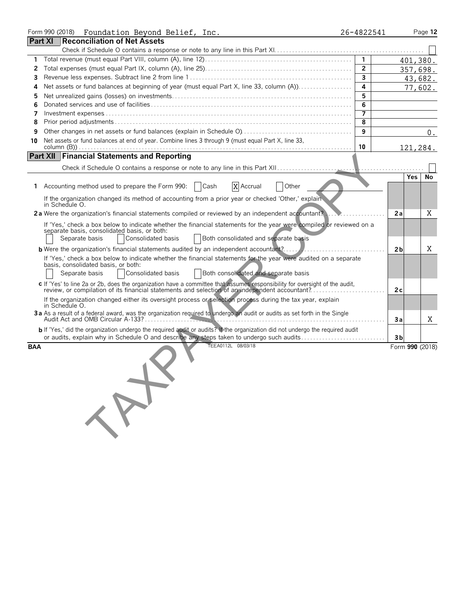|            |         |                | Form 990 (2018) Foundation Beyond Belief, Inc.                 |                    |             |      |                                                                                                                                                                                                                                  |       |  | 26-4822541     |                |                 | Page 12 |
|------------|---------|----------------|----------------------------------------------------------------|--------------------|-------------|------|----------------------------------------------------------------------------------------------------------------------------------------------------------------------------------------------------------------------------------|-------|--|----------------|----------------|-----------------|---------|
|            | Part XI |                | Reconciliation of Net Assets                                   |                    |             |      |                                                                                                                                                                                                                                  |       |  |                |                |                 |         |
|            |         |                |                                                                |                    |             |      |                                                                                                                                                                                                                                  |       |  |                |                |                 |         |
| 1.         |         |                |                                                                |                    |             |      |                                                                                                                                                                                                                                  |       |  | $\mathbf{1}$   |                | 401,380.        |         |
| 2          |         |                |                                                                |                    |             |      |                                                                                                                                                                                                                                  |       |  | $\overline{2}$ |                | 357,698.        |         |
| 3          |         |                |                                                                |                    |             |      |                                                                                                                                                                                                                                  |       |  | $\mathbf{3}$   |                | 43,682.         |         |
| 4          |         |                |                                                                |                    |             |      | Net assets or fund balances at beginning of year (must equal Part X, line 33, column (A)).                                                                                                                                       |       |  | 4              |                | 77,602.         |         |
| 5          |         |                |                                                                |                    |             |      |                                                                                                                                                                                                                                  |       |  | 5<br>6         |                |                 |         |
| 6<br>7     |         |                |                                                                |                    |             |      |                                                                                                                                                                                                                                  |       |  | $\overline{7}$ |                |                 |         |
| 8          |         |                |                                                                |                    |             |      |                                                                                                                                                                                                                                  |       |  | 8              |                |                 |         |
| 9          |         |                |                                                                |                    |             |      |                                                                                                                                                                                                                                  |       |  | 9              |                |                 | 0.      |
| 10         |         |                |                                                                |                    |             |      | Net assets or fund balances at end of year. Combine lines 3 through 9 (must equal Part X, line 33,                                                                                                                               |       |  |                |                |                 |         |
|            |         |                | <b>Part XII Financial Statements and Reporting</b>             |                    |             |      |                                                                                                                                                                                                                                  |       |  | 10             |                | 121,284.        |         |
|            |         |                |                                                                |                    |             |      |                                                                                                                                                                                                                                  |       |  |                |                |                 |         |
|            |         |                |                                                                |                    |             |      |                                                                                                                                                                                                                                  |       |  |                |                | <b>Yes</b>      | No      |
|            |         |                | 1 Accounting method used to prepare the Form 990:              |                    |             | Cash | X Accrual                                                                                                                                                                                                                        | Other |  |                |                |                 |         |
|            |         |                |                                                                |                    |             |      |                                                                                                                                                                                                                                  |       |  |                |                |                 |         |
|            |         | in Schedule O. |                                                                |                    |             |      | If the organization changed its method of accounting from a prior year or checked 'Other,' explain                                                                                                                               |       |  |                |                |                 |         |
|            |         |                |                                                                |                    |             |      | 2a Were the organization's financial statements compiled or reviewed by an independent accountant?                                                                                                                               |       |  |                | 2a             |                 | Χ       |
|            |         |                |                                                                |                    |             |      | If 'Yes,' check a box below to indicate whether the financial statements for the year were compiled or reviewed on a                                                                                                             |       |  |                |                |                 |         |
|            |         |                | separate basis, consolidated basis, or both:<br>Separate basis | Consolidated basis |             |      | Both consolidated and separate basis                                                                                                                                                                                             |       |  |                |                |                 |         |
|            |         |                |                                                                |                    |             |      | <b>b</b> Were the organization's financial statements audited by an independent accountant?                                                                                                                                      |       |  |                | 2 <sub>b</sub> |                 | Χ       |
|            |         |                |                                                                |                    |             |      | If 'Yes,' check a box below to indicate whether the financial statements for the year were audited on a separate                                                                                                                 |       |  |                |                |                 |         |
|            |         |                | basis, consolidated basis, or both:                            |                    |             |      |                                                                                                                                                                                                                                  |       |  |                |                |                 |         |
|            |         |                | Separate basis                                                 | Consolidated basis |             |      | Both consolidated and separate basis                                                                                                                                                                                             |       |  |                |                |                 |         |
|            |         |                |                                                                |                    |             |      | c If 'Yes' to line 2a or 2b, does the organization have a committee that assumes responsibility for oversight of the audit,                                                                                                      |       |  |                | 2c             |                 |         |
|            |         | in Schedule O. |                                                                |                    |             |      | If the organization changed either its oversight process or selection process during the tax year, explain                                                                                                                       |       |  |                |                |                 |         |
|            |         |                |                                                                |                    |             |      | 3a As a result of a federal award, was the organization required to undergo an audit or audits as set forth in the Single                                                                                                        |       |  |                |                |                 |         |
|            |         |                |                                                                |                    |             |      |                                                                                                                                                                                                                                  |       |  |                | Зa             |                 | X       |
|            |         |                |                                                                |                    |             |      | <b>b</b> If 'Yes,' did the organization undergo the required audit or audits? If the organization did not undergo the required audit<br>or audits, explain why in Schedule O and describe any steps taken to undergo such audits |       |  |                | 3b             |                 |         |
| <b>BAA</b> |         |                |                                                                |                    |             |      | TEEA0112L 08/03/18                                                                                                                                                                                                               |       |  |                |                | Form 990 (2018) |         |
|            |         |                |                                                                |                    | $R_{\rm F}$ |      |                                                                                                                                                                                                                                  |       |  |                |                |                 |         |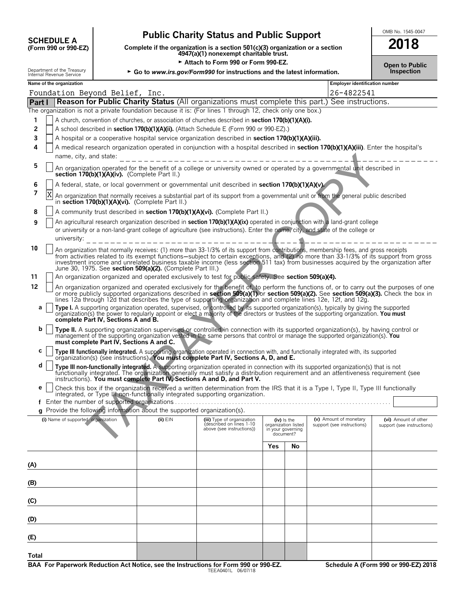| <b>SCHEDULE A</b>                |  |
|----------------------------------|--|
| $(F_{\rm O}r$ m 990 or 990. $FZ$ |  |

### **Public Charity Status and Public Support**

Complete if the organization is a section 501(c)(3) organization or a section<br>4947(a)(1) nonexempt charitable trust.

Attach to Form 990 or Form 990-EZ.

| 2018                  |
|-----------------------|
| <b>Open to Public</b> |

OMB No. 1545-0047

|                | Department of the Treasury<br>Internal Revenue Service |                                                                                                                                                                            | Open to Fublic<br>Inspection<br>► Go to www.irs.gov/Form990 for instructions and the latest information. |                                                                                                                                                                                                                                                                                                                                                                                                                    |                                                       |             |                                                      |                                                    |  |  |  |
|----------------|--------------------------------------------------------|----------------------------------------------------------------------------------------------------------------------------------------------------------------------------|----------------------------------------------------------------------------------------------------------|--------------------------------------------------------------------------------------------------------------------------------------------------------------------------------------------------------------------------------------------------------------------------------------------------------------------------------------------------------------------------------------------------------------------|-------------------------------------------------------|-------------|------------------------------------------------------|----------------------------------------------------|--|--|--|
|                | Name of the organization                               |                                                                                                                                                                            |                                                                                                          |                                                                                                                                                                                                                                                                                                                                                                                                                    |                                                       |             | <b>Employer identification number</b>                |                                                    |  |  |  |
|                | Foundation Beyond Belief, Inc.                         |                                                                                                                                                                            |                                                                                                          |                                                                                                                                                                                                                                                                                                                                                                                                                    |                                                       |             | 26-4822541                                           |                                                    |  |  |  |
| Part I         |                                                        |                                                                                                                                                                            |                                                                                                          | <b>Reason for Public Charity Status</b> (All organizations must complete this part.) See instructions.                                                                                                                                                                                                                                                                                                             |                                                       |             |                                                      |                                                    |  |  |  |
|                |                                                        |                                                                                                                                                                            |                                                                                                          | The organization is not a private foundation because it is: (For lines 1 through 12, check only one box.)                                                                                                                                                                                                                                                                                                          |                                                       |             |                                                      |                                                    |  |  |  |
| 1              |                                                        |                                                                                                                                                                            |                                                                                                          | A church, convention of churches, or association of churches described in section 170(b)(1)(A)(i).                                                                                                                                                                                                                                                                                                                 |                                                       |             |                                                      |                                                    |  |  |  |
| $\overline{2}$ |                                                        | A school described in section 170(b)(1)(A)(ii). (Attach Schedule E (Form 990 or 990-EZ).)                                                                                  |                                                                                                          |                                                                                                                                                                                                                                                                                                                                                                                                                    |                                                       |             |                                                      |                                                    |  |  |  |
| 3              |                                                        |                                                                                                                                                                            |                                                                                                          | A hospital or a cooperative hospital service organization described in section 170(b)(1)(A)(iii).                                                                                                                                                                                                                                                                                                                  |                                                       |             |                                                      |                                                    |  |  |  |
| 4              |                                                        |                                                                                                                                                                            |                                                                                                          | A medical research organization operated in conjunction with a hospital described in section 170(b)(1)(A)(iii). Enter the hospital's                                                                                                                                                                                                                                                                               |                                                       |             |                                                      |                                                    |  |  |  |
|                | name, city, and state:                                 |                                                                                                                                                                            |                                                                                                          |                                                                                                                                                                                                                                                                                                                                                                                                                    |                                                       |             |                                                      |                                                    |  |  |  |
| 5              |                                                        | An organization operated for the benefit of a college or university owned or operated by a governmental unit described in<br>section 170(b)(1)(A)(iv). (Complete Part II.) |                                                                                                          |                                                                                                                                                                                                                                                                                                                                                                                                                    |                                                       |             |                                                      |                                                    |  |  |  |
| 6              |                                                        |                                                                                                                                                                            |                                                                                                          | A federal, state, or local government or governmental unit described in section 170(b)(1)(A)(v).                                                                                                                                                                                                                                                                                                                   |                                                       |             |                                                      |                                                    |  |  |  |
| 7              | X                                                      |                                                                                                                                                                            | in section 170(b)(1)(A)(vi). (Complete Part II.)                                                         | An organization that normally receives a substantial part of its support from a governmental unit or from the general public described                                                                                                                                                                                                                                                                             |                                                       |             |                                                      |                                                    |  |  |  |
| 8              |                                                        |                                                                                                                                                                            |                                                                                                          | A community trust described in section 170(b)(1)(A)(vi). (Complete Part II.)                                                                                                                                                                                                                                                                                                                                       |                                                       |             |                                                      |                                                    |  |  |  |
| 9              |                                                        |                                                                                                                                                                            |                                                                                                          | An agricultural research organization described in section 170(b)(1)(A)(ix) operated in conjunction with a land-grant college                                                                                                                                                                                                                                                                                      |                                                       |             |                                                      |                                                    |  |  |  |
|                |                                                        |                                                                                                                                                                            |                                                                                                          | or university or a non-land-grant college of agriculture (see instructions). Enter the name, city, and state of the college or                                                                                                                                                                                                                                                                                     |                                                       |             |                                                      |                                                    |  |  |  |
|                | university:                                            |                                                                                                                                                                            |                                                                                                          |                                                                                                                                                                                                                                                                                                                                                                                                                    |                                                       |             |                                                      |                                                    |  |  |  |
| 10             |                                                        |                                                                                                                                                                            | June 30, 1975. See section 509(a)(2). (Complete Part III.)                                               | An organization that normally receives: (1) more than 33-1/3% of its support from contributions, membership fees, and gross receipts<br>from activities related to its exempt functions-subject to certain exceptions, and (2) no more than 33-1/3% of its support from gross<br>investment income and unrelated business taxable income (less section 511 tax) from businesses acquired by the organization after |                                                       |             |                                                      |                                                    |  |  |  |
| 11             |                                                        |                                                                                                                                                                            |                                                                                                          | An organization organized and operated exclusively to test for public safety. See section 509(a)(4).                                                                                                                                                                                                                                                                                                               |                                                       |             |                                                      |                                                    |  |  |  |
| 12             |                                                        |                                                                                                                                                                            |                                                                                                          |                                                                                                                                                                                                                                                                                                                                                                                                                    |                                                       |             |                                                      |                                                    |  |  |  |
|                |                                                        |                                                                                                                                                                            |                                                                                                          | An organization organized and operated exclusively for the benefit of, to perform the functions of, or to carry out the purposes of one or more publicly supported organizations described in section 509(a)(1) or section 509                                                                                                                                                                                     |                                                       |             |                                                      |                                                    |  |  |  |
|                |                                                        |                                                                                                                                                                            |                                                                                                          | lines 12a through 12d that describes the type of supporting organization and complete lines 12e, 12f, and 12g.                                                                                                                                                                                                                                                                                                     |                                                       |             |                                                      |                                                    |  |  |  |
| а              |                                                        |                                                                                                                                                                            |                                                                                                          | Type I. A supporting organization operated, supervised, or controlled by its supported organization(s), typically by giving the supported organization(s) the power to regularly appoint or elect a majority of the directors                                                                                                                                                                                      |                                                       |             |                                                      |                                                    |  |  |  |
|                |                                                        | complete Part IV, Sections A and B.                                                                                                                                        |                                                                                                          |                                                                                                                                                                                                                                                                                                                                                                                                                    |                                                       |             |                                                      |                                                    |  |  |  |
| b              |                                                        | must complete Part IV, Sections A and C.                                                                                                                                   |                                                                                                          | Type II. A supporting organization supervised or controlled in connection with its supported organization(s), by having control or<br>management of the supporting organization vested in the same persons that control or manage the supported organization(s). You                                                                                                                                               |                                                       |             |                                                      |                                                    |  |  |  |
| с              |                                                        |                                                                                                                                                                            |                                                                                                          | Type III functionally integrated. A supporting organization operated in connection with, and functionally integrated with, its supported organization(s) (see instructions). You must complete Part IV, Sections A, D, and E.                                                                                                                                                                                      |                                                       |             |                                                      |                                                    |  |  |  |
| d              |                                                        |                                                                                                                                                                            |                                                                                                          | Type III non-functionally integrated. A supporting organization operated in connection with its supported organization(s) that is not<br>functionally integrated. The organization generally must satisfy a distribution requirement and an attentiveness requirement (see                                                                                                                                         |                                                       |             |                                                      |                                                    |  |  |  |
|                |                                                        |                                                                                                                                                                            |                                                                                                          | instructions). You must complete Part IV, Sections A and D, and Part V.                                                                                                                                                                                                                                                                                                                                            |                                                       |             |                                                      |                                                    |  |  |  |
| е              |                                                        |                                                                                                                                                                            |                                                                                                          | Check this box if the organization received a written determination from the IRS that it is a Type I, Type II, Type III functionally<br>integrated, or Type III non-functionally integrated supporting organization.                                                                                                                                                                                               |                                                       |             |                                                      |                                                    |  |  |  |
|                |                                                        |                                                                                                                                                                            |                                                                                                          |                                                                                                                                                                                                                                                                                                                                                                                                                    |                                                       |             |                                                      |                                                    |  |  |  |
|                |                                                        |                                                                                                                                                                            | g Provide the following information about the supported organization(s).                                 |                                                                                                                                                                                                                                                                                                                                                                                                                    |                                                       |             |                                                      |                                                    |  |  |  |
|                | (i) Name of supported organization                     |                                                                                                                                                                            | $(ii)$ $EIN$                                                                                             | (iii) Type of organization<br>(described on lines 1-10<br>above (see instructions))                                                                                                                                                                                                                                                                                                                                | organization listed<br>in your governing<br>document? | (iv) Is the | (v) Amount of monetary<br>support (see instructions) | (vi) Amount of other<br>support (see instructions) |  |  |  |
|                |                                                        |                                                                                                                                                                            |                                                                                                          |                                                                                                                                                                                                                                                                                                                                                                                                                    | Yes                                                   | <b>No</b>   |                                                      |                                                    |  |  |  |
| (A)            |                                                        |                                                                                                                                                                            |                                                                                                          |                                                                                                                                                                                                                                                                                                                                                                                                                    |                                                       |             |                                                      |                                                    |  |  |  |
|                |                                                        |                                                                                                                                                                            |                                                                                                          |                                                                                                                                                                                                                                                                                                                                                                                                                    |                                                       |             |                                                      |                                                    |  |  |  |
| (B)            |                                                        |                                                                                                                                                                            |                                                                                                          |                                                                                                                                                                                                                                                                                                                                                                                                                    |                                                       |             |                                                      |                                                    |  |  |  |
| (C)            |                                                        |                                                                                                                                                                            |                                                                                                          |                                                                                                                                                                                                                                                                                                                                                                                                                    |                                                       |             |                                                      |                                                    |  |  |  |
| (D)            |                                                        |                                                                                                                                                                            |                                                                                                          |                                                                                                                                                                                                                                                                                                                                                                                                                    |                                                       |             |                                                      |                                                    |  |  |  |
| (E)            |                                                        |                                                                                                                                                                            |                                                                                                          |                                                                                                                                                                                                                                                                                                                                                                                                                    |                                                       |             |                                                      |                                                    |  |  |  |
| <b>Total</b>   |                                                        |                                                                                                                                                                            |                                                                                                          |                                                                                                                                                                                                                                                                                                                                                                                                                    |                                                       |             |                                                      |                                                    |  |  |  |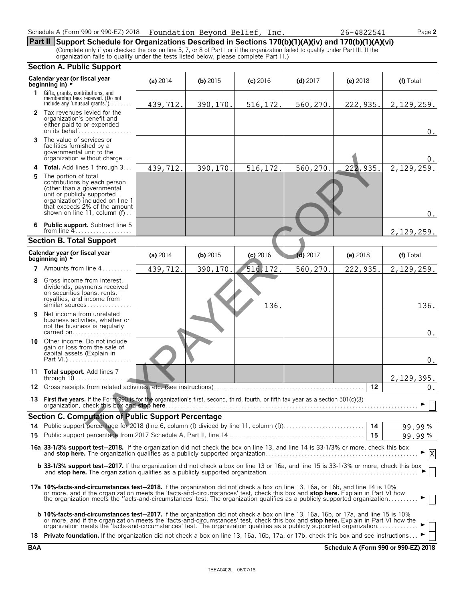| Schedule A (Form 990 or 990-EZ) 2018  Foundation Beyond Belief, Inc. |  |
|----------------------------------------------------------------------|--|
|----------------------------------------------------------------------|--|

**Part II** Support Schedule for Organizations Described in Sections 170(b)(1)(A)(iv) and 170(b)(1)(A)(vi) (Complete only if you checked the box on line 5, 7, or 8 of Part I or if the organization failed to qualify under Par

| Section A. Public Support                                                                                                                                                                                             |          |            |                                                            |            |            |                                                                                                                                                                                                                                                                                                                                                                                                                                                                                                                                                                                                                                                                                                                                                                                                                                                                                                                                                                                                                                                                                                                                                                                                                                                                                                                                                        |
|-----------------------------------------------------------------------------------------------------------------------------------------------------------------------------------------------------------------------|----------|------------|------------------------------------------------------------|------------|------------|--------------------------------------------------------------------------------------------------------------------------------------------------------------------------------------------------------------------------------------------------------------------------------------------------------------------------------------------------------------------------------------------------------------------------------------------------------------------------------------------------------------------------------------------------------------------------------------------------------------------------------------------------------------------------------------------------------------------------------------------------------------------------------------------------------------------------------------------------------------------------------------------------------------------------------------------------------------------------------------------------------------------------------------------------------------------------------------------------------------------------------------------------------------------------------------------------------------------------------------------------------------------------------------------------------------------------------------------------------|
| Calendar year (or fiscal year<br>beginning in) $\rightarrow$                                                                                                                                                          | (a) 2014 | $(b)$ 2015 | $(c)$ 2016                                                 | $(d)$ 2017 | $(e)$ 2018 | (f) Total                                                                                                                                                                                                                                                                                                                                                                                                                                                                                                                                                                                                                                                                                                                                                                                                                                                                                                                                                                                                                                                                                                                                                                                                                                                                                                                                              |
| Gifts, grants, contributions, and<br>membership fees received. (Do not<br>include any 'unusual grants.'). $\dots \dots$                                                                                               | 439,712. | 390,170.   | 516, 172.                                                  | 560,270.   | 222,935.   | 2, 129, 259.                                                                                                                                                                                                                                                                                                                                                                                                                                                                                                                                                                                                                                                                                                                                                                                                                                                                                                                                                                                                                                                                                                                                                                                                                                                                                                                                           |
| 2 Tax revenues levied for the<br>organization's benefit and<br>either paid to or expended<br>on its behalf                                                                                                            |          |            |                                                            |            |            | $0$ .                                                                                                                                                                                                                                                                                                                                                                                                                                                                                                                                                                                                                                                                                                                                                                                                                                                                                                                                                                                                                                                                                                                                                                                                                                                                                                                                                  |
| 3 The value of services or<br>facilities furnished by a<br>governmental unit to the<br>organization without charge                                                                                                    |          |            |                                                            |            |            | υ.                                                                                                                                                                                                                                                                                                                                                                                                                                                                                                                                                                                                                                                                                                                                                                                                                                                                                                                                                                                                                                                                                                                                                                                                                                                                                                                                                     |
| 4 Total. Add lines 1 through 3                                                                                                                                                                                        | 439,712. | 390,170.   | 516, 172.                                                  | 560,270.   | 222,935.   | 2, 129, 259.                                                                                                                                                                                                                                                                                                                                                                                                                                                                                                                                                                                                                                                                                                                                                                                                                                                                                                                                                                                                                                                                                                                                                                                                                                                                                                                                           |
| The portion of total<br>contributions by each person<br>(other than a governmental<br>unit or publicly supported<br>organization) included on line 1<br>that exceeds 2% of the amount<br>shown on line 11, column (f) |          |            |                                                            |            |            | $0$ .                                                                                                                                                                                                                                                                                                                                                                                                                                                                                                                                                                                                                                                                                                                                                                                                                                                                                                                                                                                                                                                                                                                                                                                                                                                                                                                                                  |
| Public support. Subtract line 5<br>from line $4$                                                                                                                                                                      |          |            |                                                            |            |            | 2, 129, 259.                                                                                                                                                                                                                                                                                                                                                                                                                                                                                                                                                                                                                                                                                                                                                                                                                                                                                                                                                                                                                                                                                                                                                                                                                                                                                                                                           |
| <b>Section B. Total Support</b>                                                                                                                                                                                       |          |            |                                                            |            |            |                                                                                                                                                                                                                                                                                                                                                                                                                                                                                                                                                                                                                                                                                                                                                                                                                                                                                                                                                                                                                                                                                                                                                                                                                                                                                                                                                        |
| Calendar year (or fiscal year<br>beginning in) $\rightarrow$                                                                                                                                                          | (a) 2014 | (b) 2015   | (c) 2016                                                   | $(d)$ 2017 | (e) 2018   | (f) Total                                                                                                                                                                                                                                                                                                                                                                                                                                                                                                                                                                                                                                                                                                                                                                                                                                                                                                                                                                                                                                                                                                                                                                                                                                                                                                                                              |
| 7 Amounts from line $4, \ldots, \ldots$                                                                                                                                                                               | 439,712. | 390,170.   | 516, 172.                                                  | 560,270.   | 222,935.   | 2,129,259.                                                                                                                                                                                                                                                                                                                                                                                                                                                                                                                                                                                                                                                                                                                                                                                                                                                                                                                                                                                                                                                                                                                                                                                                                                                                                                                                             |
| Gross income from interest,<br>dividends, payments received<br>on securities loans, rents,<br>royalties, and income from<br>similar sources                                                                           |          |            | 136.                                                       |            |            | 136.                                                                                                                                                                                                                                                                                                                                                                                                                                                                                                                                                                                                                                                                                                                                                                                                                                                                                                                                                                                                                                                                                                                                                                                                                                                                                                                                                   |
| Net income from unrelated<br>business activities, whether or<br>not the business is regularly<br>carried on                                                                                                           |          |            |                                                            |            |            | 0.                                                                                                                                                                                                                                                                                                                                                                                                                                                                                                                                                                                                                                                                                                                                                                                                                                                                                                                                                                                                                                                                                                                                                                                                                                                                                                                                                     |
| Other income. Do not include<br>gain or loss from the sale of<br>capital assets (Explain in<br>Part VI.)                                                                                                              |          |            |                                                            |            |            | $0$ .                                                                                                                                                                                                                                                                                                                                                                                                                                                                                                                                                                                                                                                                                                                                                                                                                                                                                                                                                                                                                                                                                                                                                                                                                                                                                                                                                  |
| 11 Total support. Add lines 7<br>through $10$                                                                                                                                                                         |          |            |                                                            |            |            | 2, 129, 395.                                                                                                                                                                                                                                                                                                                                                                                                                                                                                                                                                                                                                                                                                                                                                                                                                                                                                                                                                                                                                                                                                                                                                                                                                                                                                                                                           |
|                                                                                                                                                                                                                       |          |            |                                                            |            |            | 0.                                                                                                                                                                                                                                                                                                                                                                                                                                                                                                                                                                                                                                                                                                                                                                                                                                                                                                                                                                                                                                                                                                                                                                                                                                                                                                                                                     |
|                                                                                                                                                                                                                       |          |            |                                                            |            |            |                                                                                                                                                                                                                                                                                                                                                                                                                                                                                                                                                                                                                                                                                                                                                                                                                                                                                                                                                                                                                                                                                                                                                                                                                                                                                                                                                        |
|                                                                                                                                                                                                                       |          |            |                                                            |            |            |                                                                                                                                                                                                                                                                                                                                                                                                                                                                                                                                                                                                                                                                                                                                                                                                                                                                                                                                                                                                                                                                                                                                                                                                                                                                                                                                                        |
|                                                                                                                                                                                                                       |          |            |                                                            |            | 14         | 99.99%                                                                                                                                                                                                                                                                                                                                                                                                                                                                                                                                                                                                                                                                                                                                                                                                                                                                                                                                                                                                                                                                                                                                                                                                                                                                                                                                                 |
|                                                                                                                                                                                                                       |          |            |                                                            |            | 15         | 99.99%                                                                                                                                                                                                                                                                                                                                                                                                                                                                                                                                                                                                                                                                                                                                                                                                                                                                                                                                                                                                                                                                                                                                                                                                                                                                                                                                                 |
|                                                                                                                                                                                                                       |          |            |                                                            |            |            | X                                                                                                                                                                                                                                                                                                                                                                                                                                                                                                                                                                                                                                                                                                                                                                                                                                                                                                                                                                                                                                                                                                                                                                                                                                                                                                                                                      |
|                                                                                                                                                                                                                       |          |            |                                                            |            |            |                                                                                                                                                                                                                                                                                                                                                                                                                                                                                                                                                                                                                                                                                                                                                                                                                                                                                                                                                                                                                                                                                                                                                                                                                                                                                                                                                        |
|                                                                                                                                                                                                                       |          |            |                                                            |            |            |                                                                                                                                                                                                                                                                                                                                                                                                                                                                                                                                                                                                                                                                                                                                                                                                                                                                                                                                                                                                                                                                                                                                                                                                                                                                                                                                                        |
|                                                                                                                                                                                                                       |          |            |                                                            |            |            |                                                                                                                                                                                                                                                                                                                                                                                                                                                                                                                                                                                                                                                                                                                                                                                                                                                                                                                                                                                                                                                                                                                                                                                                                                                                                                                                                        |
|                                                                                                                                                                                                                       |          |            | <b>Section C. Computation of Public Support Percentage</b> |            |            | 12<br>13 First five years. If the Form 990 is for the organization's first, second, third, fourth, or fifth tax year as a section 501(c)(3)<br>16a 33-1/3% support test-2018. If the organization did not check the box on line 13, and line 14 is 33-1/3% or more, check this box<br><b>b 33-1/3% support test-2017.</b> If the organization did not check a box on line 13 or 16a, and line 15 is 33-1/3% or more, check this box<br>17a 10%-facts-and-circumstances test-2018. If the organization did not check a box on line 13, 16a, or 16b, and line 14 is 10%<br>or more, and if the organization meets the 'facts-and-circumstances' test, check this box and stop here. Explain in Part VI how<br>the organization meets the 'facts-and-circumstances' test. The organization qualifies as a publicly supported organization<br>b 10%-facts-and-circumstances test-2017. If the organization did not check a box on line 13, 16a, 16b, or 17a, and line 15 is 10%<br>or more, and if the organization meets the 'facts-and-circumstances' test, check this box and stop here. Explain in Part VI how the organization meets the 'facts-and-circumstances' test. The organization qualifies as a pub<br>18 Private foundation. If the organization did not check a box on line 13, 16a, 16b, 17a, or 17b, check this box and see instructions |

Schedule A (Form 990 or 990-EZ) 2018

**BAA** 

26-4822541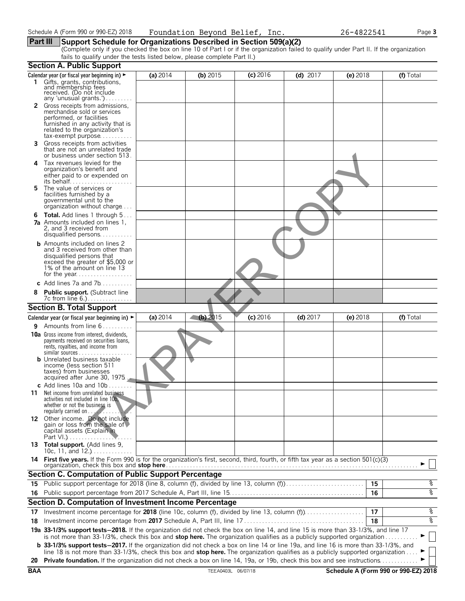Page 3

**Part III** Support Schedule for Organizations Described in Section 509(a)(2)<br>(Complete only if you checked the box on line 10 of Part I or if the organization failed to qualify under Part II. If the organization fails to qualify under the tests listed below, please complete Part II.)

|     | Section A. Public Support                                                                                                                  |          |            |            |            |          |           |
|-----|--------------------------------------------------------------------------------------------------------------------------------------------|----------|------------|------------|------------|----------|-----------|
|     | Calendar year (or fiscal year beginning in) ►                                                                                              | (a) 2014 | (b) 2015   | $(c)$ 2016 | $(d)$ 2017 | (e) 2018 | (f) Total |
|     | 1 Gifts, grants, contributions,                                                                                                            |          |            |            |            |          |           |
|     | and membership fees<br>received. (Do not include                                                                                           |          |            |            |            |          |           |
|     | any 'unusual grants.')<br>2 Gross receipts from admissions,                                                                                |          |            |            |            |          |           |
|     | merchandise sold or services                                                                                                               |          |            |            |            |          |           |
|     | performed, or facilities                                                                                                                   |          |            |            |            |          |           |
|     | furnished in any activity that is<br>related to the organization's                                                                         |          |            |            |            |          |           |
|     | tax-exempt purpose                                                                                                                         |          |            |            |            |          |           |
| 3.  | Gross receipts from activities<br>that are not an unrelated trade                                                                          |          |            |            |            |          |           |
|     | or business under section 513.                                                                                                             |          |            |            |            |          |           |
| 4   | Tax revenues levied for the                                                                                                                |          |            |            |            |          |           |
|     | organization's benefit and<br>either paid to or expended on                                                                                |          |            |            |            |          |           |
|     |                                                                                                                                            |          |            |            |            |          |           |
| 5.  | The value of services or                                                                                                                   |          |            |            |            |          |           |
|     | facilities furnished by a<br>governmental unit to the                                                                                      |          |            |            |            |          |           |
|     | organization without charge                                                                                                                |          |            |            |            |          |           |
|     | <b>6 Total.</b> Add lines 1 through 5                                                                                                      |          |            |            |            |          |           |
|     | <b>7a</b> Amounts included on lines 1,<br>2, and 3 received from                                                                           |          |            |            |            |          |           |
|     | disqualified persons                                                                                                                       |          |            |            |            |          |           |
|     | <b>b</b> Amounts included on lines 2                                                                                                       |          |            |            |            |          |           |
|     | and 3 received from other than<br>disqualified persons that                                                                                |          |            |            |            |          |           |
|     | exceed the greater of \$5,000 or                                                                                                           |          |            |            |            |          |           |
|     | 1% of the amount on line 13                                                                                                                |          |            |            |            |          |           |
|     | c Add lines $7a$ and $7b$                                                                                                                  |          |            |            |            |          |           |
| 8   | <b>Public support.</b> (Subtract line                                                                                                      |          |            |            |            |          |           |
|     | 7c from line 6.).                                                                                                                          |          |            |            |            |          |           |
|     | <b>Section B. Total Support</b>                                                                                                            |          |            |            |            |          |           |
|     | Calendar year (or fiscal year beginning in) $\blacktriangleright$                                                                          | (a) 2014 | $(b)$ 2015 | $(c)$ 2016 | $(d)$ 2017 | (e) 2018 | (f) Total |
|     | <b>9</b> Amounts from line $6$                                                                                                             |          |            |            |            |          |           |
|     | <b>10a</b> Gross income from interest, dividends,                                                                                          |          |            |            |            |          |           |
|     | payments received on securities loans,<br>rents, royalties, and income from                                                                |          |            |            |            |          |           |
|     | similar sources                                                                                                                            |          |            |            |            |          |           |
|     | <b>b</b> Unrelated business taxable<br>income (less section 511                                                                            |          |            |            |            |          |           |
|     | taxes) from businesses                                                                                                                     |          |            |            |            |          |           |
|     | acquired after June 30, 1975.                                                                                                              |          |            |            |            |          |           |
|     | c Add lines 10a and $10b$<br>Net income from unrelated business                                                                            |          |            |            |            |          |           |
| 11. | activities not included in line 10b.                                                                                                       |          |            |            |            |          |           |
|     | whether or not the business is                                                                                                             |          |            |            |            |          |           |
|     | regularly carried on $\ldots$<br>12 Other income. Do not include                                                                           |          |            |            |            |          |           |
|     | gain or loss from the sale of                                                                                                              |          |            |            |            |          |           |
|     | capital assets (Explain in<br>Part VI.)                                                                                                    |          |            |            |            |          |           |
|     | 13 Total support. (Add lines 9,                                                                                                            |          |            |            |            |          |           |
|     | 10c, 11, and $12.$ )                                                                                                                       |          |            |            |            |          |           |
|     | 14 First five years. If the Form 990 is for the organization's first, second, third, fourth, or fifth tax year as a section 501(c)(3)      |          |            |            |            |          |           |
|     | Section C. Computation of Public Support Percentage                                                                                        |          |            |            |            |          |           |
|     | 15 Public support percentage for 2018 (line 8, column (f), divided by line 13, column (f)                                                  |          |            |            |            | 15       | %         |
| 16. |                                                                                                                                            |          |            |            |            | 16       | နွ        |
|     | Section D. Computation of Investment Income Percentage                                                                                     |          |            |            |            |          |           |
| 17  | Investment income percentage for 2018 (line 10c, column (f), divided by line 13, column (f)                                                |          |            |            |            | 17       | န့        |
| 18  |                                                                                                                                            |          |            |            |            | 18       | ४         |
|     | 19a 33-1/3% support tests-2018. If the organization did not check the box on line 14, and line 15 is more than 33-1/3%, and line 17        |          |            |            |            |          |           |
|     | is not more than 33-1/3%, check this box and stop here. The organization qualifies as a publicly supported organization                    |          |            |            |            |          |           |
|     | <b>b</b> 33-1/3% support tests-2017. If the organization did not check a box on line 14 or line 19a, and line 16 is more than 33-1/3%, and |          |            |            |            |          |           |
|     | line 18 is not more than 33-1/3%, check this box and stop here. The organization qualifies as a publicly supported organization            |          |            |            |            |          |           |
|     | 20 Private foundation. If the organization did not check a box on line 14, 19a, or 19b, check this box and see instructions                |          |            |            |            |          |           |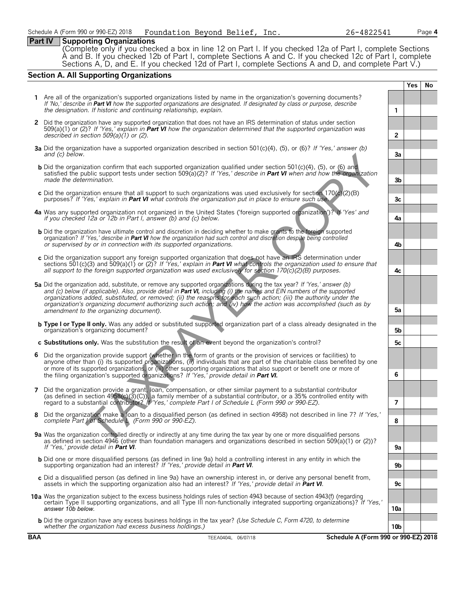Page 4

#### **Part IV Supporting Organizations**

Complete only if you checked a box in line 12 on Part I. If you checked 12a of Part I, complete Sections A and B. If you checked 12b of Part I, complete Sections A and C. If you checked 12c of Part I, complete Sections A,

#### **Section A. All Supporting Organizations**

|                                                                                                                                                                                                                                                                                                                                                                                                                                                                                                                                          |                   | Yes | <b>No</b> |
|------------------------------------------------------------------------------------------------------------------------------------------------------------------------------------------------------------------------------------------------------------------------------------------------------------------------------------------------------------------------------------------------------------------------------------------------------------------------------------------------------------------------------------------|-------------------|-----|-----------|
| 1 Are all of the organization's supported organizations listed by name in the organization's governing documents?<br>If 'No,' describe in Part VI how the supported organizations are designated. If designated by class or purpose, describe<br>the designation. If historic and continuing relationship, explain.                                                                                                                                                                                                                      | 1                 |     |           |
| 2 Did the organization have any supported organization that does not have an IRS determination of status under section<br>509(a)(1) or (2)? If 'Yes,' explain in Part VI how the organization determined that the supported organization was<br>described in section $509(a)(1)$ or (2).                                                                                                                                                                                                                                                 | $\overline{2}$    |     |           |
| <b>3a</b> Did the organization have a supported organization described in section $501(c)(4)$ , $(5)$ , or $(6)$ ? If 'Yes,' answer (b)<br>and (c) below.                                                                                                                                                                                                                                                                                                                                                                                | 3a                |     |           |
| <b>b</b> Did the organization confirm that each supported organization qualified under section 501(c)(4), (5), or (6) and<br>satisfied the public support tests under section 509( $a(2)$ ? If 'Yes,' describe in <b>Part VI</b> when and how the organization<br>made the determination.                                                                                                                                                                                                                                                | 3b                |     |           |
| c Did the organization ensure that all support to such organizations was used exclusively for section $170(c)(2)(B)$<br>purposes? If 'Yes,' explain in <b>Part VI</b> what controls the organization put in place to ensure such use.                                                                                                                                                                                                                                                                                                    | 3c                |     |           |
| 4a Was any supported organization not organized in the United States ('foreign supported organization')? If 'Yes' and<br>if you checked 12a or 12b in Part I, answer (b) and (c) below.                                                                                                                                                                                                                                                                                                                                                  | 4a                |     |           |
| <b>b</b> Did the organization have ultimate control and discretion in deciding whether to make grants to the foreign supported<br>organization? If 'Yes,' describe in <b>Part VI</b> how the organization had such control and discretion despite being controlled<br>or supervised by or in connection with its supported organizations.                                                                                                                                                                                                | 4b                |     |           |
| c Did the organization support any foreign supported organization that does not have an IRS determination under<br>sections 501(c)(3) and 509(a)(1) or (2)? If 'Yes,' explain in Part VI what controls the organization used to ensure that<br>all support to the foreign supported organization was used exclusively for section $170(c)(2)(B)$ purposes.                                                                                                                                                                               | 4c                |     |           |
| 5a Did the organization add, substitute, or remove any supported organizations during the tax year? If 'Yes,' answer (b)<br>and (c) below (if applicable). Also, provide detail in Part VI, including (i) the names and EIN numbers of the supported<br>organizations added, substituted, or removed; (ii) the reasons for each such action; (iii) the authority under the<br>organization's organizing document authorizing such action; and (iv) how the action was accomplished (such as by<br>amendment to the organizing document). | 5a                |     |           |
| <b>b Type I or Type II only.</b> Was any added or substituted supported organization part of a class already designated in the<br>organization's organizing document?                                                                                                                                                                                                                                                                                                                                                                    | 5b                |     |           |
| c Substitutions only. Was the substitution the result of an event beyond the organization's control?                                                                                                                                                                                                                                                                                                                                                                                                                                     | 5c                |     |           |
| 6 Did the organization provide support (whether in the form of grants or the provision of services or facilities) to<br>anyone other than (i) its supported organizations, (ii) individuals that are part of the charitable class benefited by one<br>or more of its supported organizations, or (iii) other supporting organizations that also support or benefit one or more of<br>the filing organization's supported organizations? If 'Yes,' provide detail in Part VI.                                                             | 6                 |     |           |
| 7 Did the organization provide a grant, loan, compensation, or other similar payment to a substantial contributor<br>(as defined in section $4958(c)(3)(c)$ ), a family member of a substantial contributor, or a 35% controlled entity with<br>regard to a substantial contributor? (f) Yes,' complete Part I of Schedule L (Form 990 or 990-EZ).                                                                                                                                                                                       | 7                 |     |           |
| Did the organization make a loan to a disqualified person (as defined in section 4958) not described in line 7? If 'Yes,'<br>complete Part J of Schedule L (Form 990 or 990-EZ).                                                                                                                                                                                                                                                                                                                                                         | $\mathbf{Q}$<br>o |     |           |
| 9a Was the organization controlled directly or indirectly at any time during the tax year by one or more disqualified persons<br>as defined in section 4946 (other than foundation managers and organizations described in section 509(a)(1) or (2))?<br>If 'Yes,' provide detail in <b>Part VI</b> .                                                                                                                                                                                                                                    | 9а                |     |           |
| <b>b</b> Did one or more disqualified persons (as defined in line 9a) hold a controlling interest in any entity in which the<br>supporting organization had an interest? If 'Yes,' provide detail in Part VI.                                                                                                                                                                                                                                                                                                                            | 9b                |     |           |
| c Did a disqualified person (as defined in line 9a) have an ownership interest in, or derive any personal benefit from,<br>assets in which the supporting organization also had an interest? If 'Yes,' provide detail in Part VI.                                                                                                                                                                                                                                                                                                        | 9c                |     |           |
| 10a Was the organization subject to the excess business holdings rules of section 4943 because of section 4943(f) (regarding<br>certain Type II supporting organizations, and all Type III non-functionally integrated supporting organizations)? If 'Yes,'<br>answer 10b below.                                                                                                                                                                                                                                                         | 10a               |     |           |
| <b>b</b> Did the organization have any excess business holdings in the tax year? (Use Schedule C, Form 4720, to determine<br>whether the organization had excess business holdings.)                                                                                                                                                                                                                                                                                                                                                     | 10 <sub>b</sub>   |     |           |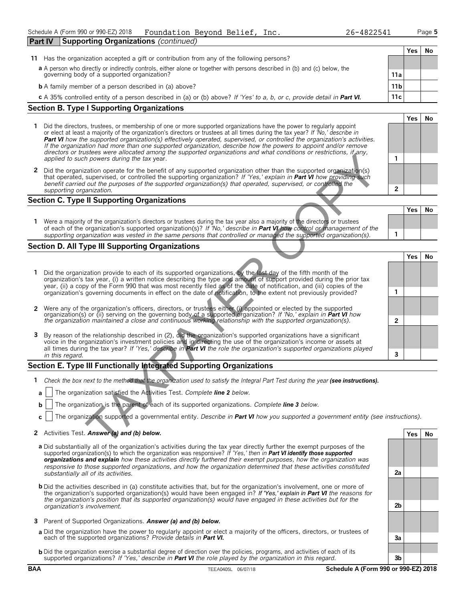| Supporting Organizations (continued)<br>ırt IV                                                                                   |     |       |    |
|----------------------------------------------------------------------------------------------------------------------------------|-----|-------|----|
|                                                                                                                                  |     | Yes l | Nο |
| Has the organization accepted a gift or contribution from any of the following persons?                                          |     |       |    |
| <b>a</b> A person who directly or indirectly controls, either alone or together with persons described in (b) and (c) below, the |     |       |    |
| governing body of a supported organization?                                                                                      | 11a |       |    |

|  |  |  |  |  | <b>b</b> A family member of a person described in (a) above? |  |  |
|--|--|--|--|--|--------------------------------------------------------------|--|--|
|--|--|--|--|--|--------------------------------------------------------------|--|--|

c A 35% controlled entity of a person described in (a) or (b) above? If 'Yes' to a, b, or c, provide detail in Part VI.

#### **Section B. Type I Supporting Organizations**

**Part IV** 

11 Has th

- 1 Did the directors, trustees, or membership of one or more supported organizations have the power to regularly appoint or elect at least a majority of the organization's directors or trustees at all times during the tax year? If No,' describe in Part VI how the supported organization(s) effectively operated, supervised, or controlled the organization's activities. If the organization had more than one supported organization, describe how the powers to appoint and/or remove directors or trustees were allocated among the supported organizations and what conditions or restrictions, if any, applied to such powers during the tax year.
- 2 Did the organization operate for the benefit of any supported organization other than the supported organization(s) that operated, supervised, or controlled the supporting organization? If 'Yes,' explain in Part VI how providing such benefit carried out the purposes of the supported organization(s) that operated, supervised, or controlled the supporting organization.

#### **Section C. Type II Supporting Organizations**

|                                                                                                                                                                                                                                                               | . |  |
|---------------------------------------------------------------------------------------------------------------------------------------------------------------------------------------------------------------------------------------------------------------|---|--|
| Were a majority of the organization's directors or trustees during the tax year also a majority of the directors or trustees<br>of each of the organization's supported organization(s)? If 'No,' describe in <b>Part VI</b> how control or management of the |   |  |
| supporting organization was vested in the same persons that controlled or managed the supported organization(s).                                                                                                                                              |   |  |

#### **Section D. All Type III Supporting Organizations**

Yes **No** 1 Did the organization provide to each of its supported organizations, by the last day of the fifth month of the organization's tax year, (i) a written notice describing the type and amount of support provided during the p year, (ii) a copy of the Form 990 that was most recently filed as of the date of notification, and (iii) copies of the  $\mathbf{1}$ organization's governing documents in effect on the date of notification, to the extent not previously provided? 2 Were any of the organization's officers, directors, or trustees either (i) appointed or elected by the supported organization(s) or (ii) serving on the governing body of a supported organization? If 'No,' explain in Part  $\mathfrak{p}$ 3 By reason of the relationship described in (2), did the organization's supported organizations have a significant voice in the organization's investment policies and in directing the use of the organization's income or a

#### Section E. Type III Functionally Integrated Supporting Organizations

- 1 Check the box next to the method that the organization used to satisfy the Integral Part Test during the year (see instructions).
	- The organization satisfied the Activities Test. Complete line 2 below. a
	- The organization is the parent of each of its supported organizations. Complete line 3 below.  $\mathbf{h}$
	- The organization supported a governmental entity. Describe in Part VI how you supported a government entity (see instructions).  $\mathbf{c}$

#### 2 Activities Test. Answer (a) and (b) below.

in this regard

- a Did substantially all of the organization's activities during the tax year directly further the exempt purposes of the supported organization(s) to which the organization was responsive? If 'Yes,' then in Part VI identif organizations and explain how these activities directly furthered their exempt purposes, how the organization was responsive to those supported organizations, and how the organization determined that these activities constituted substantially all of its activities.
- **b** Did the activities described in (a) constitute activities that, but for the organization's involvement, one or more of the organization's supported organization(s) would have been engaged in? If 'Yes,' explain in Part VI the reasons for the organization's position that its supported organization(s) would have engaged in these activities but for the organization's involvement.
- 3 Parent of Supported Organizations. Answer (a) and (b) below.
- a Did the organization have the power to regularly appoint or elect a majority of the officers, directors, or trustees of each of the supported organizations? Provide details in Part VI.
- **b** Did the organization exercise a substantial degree of direction over the policies, programs, and activities of each of its supported organizations? If 'Yes,' describe in **Part VI** the role played by the organization in this regard.

|                | Yes | No |
|----------------|-----|----|
|                |     |    |
|                |     |    |
|                |     |    |
| 2a             |     |    |
|                |     |    |
|                |     |    |
|                |     |    |
|                |     |    |
| 2 <sub>b</sub> |     |    |
|                |     |    |
|                |     |    |
|                |     |    |
| 3a             |     |    |
|                |     |    |
|                |     |    |
| 3b             |     |    |

 $11<sub>b</sub>$ 

 $11c$ 

 $\mathbf{1}$ 

 $\overline{2}$ 

3

Yes

 $V_{oc}$   $N_{c}$ 

**No**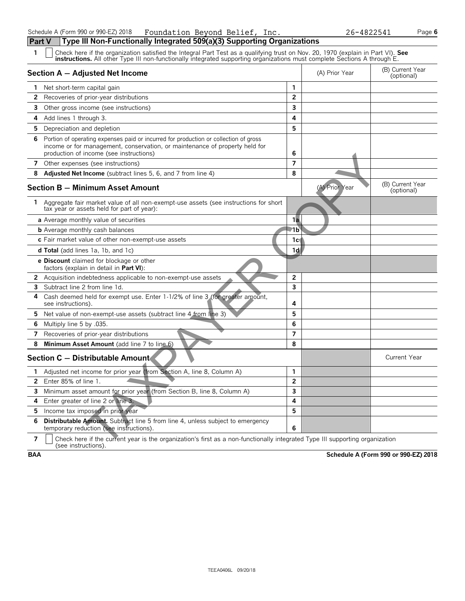| Schedule A (Form 990 or 990-EZ) 2018                                                  | Foundation Beyond Belief, Inc. |  |  |
|---------------------------------------------------------------------------------------|--------------------------------|--|--|
| <b>Part V</b> Type III Non-Functionally Integrated 509(a)(3) Supporting Organizations |                                |  |  |

Page 6

| 1.                    | Check here if the organization satisfied the Integral Part Test as a qualifying trust on Nov. 20, 1970 (explain in Part VI). See<br><b>instructions.</b> All other Type III non-functionally integrated supporting organizations must complete Sections A through E. |                |                |                                |
|-----------------------|----------------------------------------------------------------------------------------------------------------------------------------------------------------------------------------------------------------------------------------------------------------------|----------------|----------------|--------------------------------|
|                       | Section A - Adjusted Net Income                                                                                                                                                                                                                                      |                | (A) Prior Year | (B) Current Year<br>(optional) |
|                       | Net short-term capital gain                                                                                                                                                                                                                                          | 1              |                |                                |
| $\mathbf{2}$          | Recoveries of prior-year distributions                                                                                                                                                                                                                               | $\overline{2}$ |                |                                |
| 3                     | Other gross income (see instructions)                                                                                                                                                                                                                                | 3              |                |                                |
| 4                     | Add lines 1 through 3.                                                                                                                                                                                                                                               | 4              |                |                                |
| 5.                    | Depreciation and depletion                                                                                                                                                                                                                                           | 5              |                |                                |
| 6                     | Portion of operating expenses paid or incurred for production or collection of gross<br>income or for management, conservation, or maintenance of property held for<br>production of income (see instructions)                                                       | 6              |                |                                |
|                       | 7 Other expenses (see instructions)                                                                                                                                                                                                                                  | $\overline{7}$ |                |                                |
| 8                     | <b>Adjusted Net Income</b> (subtract lines 5, 6, and 7 from line 4)                                                                                                                                                                                                  | 8              |                |                                |
|                       | <b>Section B - Minimum Asset Amount</b>                                                                                                                                                                                                                              |                | (A) Prior Year | (B) Current Year<br>(optional) |
| 1.                    | Aggregate fair market value of all non-exempt-use assets (see instructions for short<br>tax year or assets held for part of year):                                                                                                                                   |                |                |                                |
|                       | a Average monthly value of securities                                                                                                                                                                                                                                | 1a             |                |                                |
|                       | <b>b</b> Average monthly cash balances                                                                                                                                                                                                                               | 7b             |                |                                |
|                       | c Fair market value of other non-exempt-use assets                                                                                                                                                                                                                   | 1c             |                |                                |
|                       | <b>d Total</b> (add lines 1a, 1b, and 1c)                                                                                                                                                                                                                            | 1 <sub>d</sub> |                |                                |
|                       | <b>e Discount</b> claimed for blockage or other<br>factors (explain in detail in Part VI):                                                                                                                                                                           |                |                |                                |
|                       | <b>2</b> Acquisition indebtedness applicable to non-exempt-use assets                                                                                                                                                                                                | 2              |                |                                |
| 3                     | Subtract line 2 from line 1d.                                                                                                                                                                                                                                        | 3              |                |                                |
| 4                     | Cash deemed held for exempt use. Enter 1-1/2% of line 3 (for greater amount,<br>see instructions).                                                                                                                                                                   | 4              |                |                                |
| 5.                    | Net value of non-exempt-use assets (subtract line 4 from line 3)                                                                                                                                                                                                     | 5              |                |                                |
| 6.                    | Multiply line 5 by .035.                                                                                                                                                                                                                                             | 6              |                |                                |
| 7                     | Recoveries of prior-year distributions                                                                                                                                                                                                                               | $\overline{7}$ |                |                                |
| 8                     | Minimum Asset Amount (add line 7 to line 6)                                                                                                                                                                                                                          | 8              |                |                                |
|                       | Section C - Distributable Amount                                                                                                                                                                                                                                     |                |                | <b>Current Year</b>            |
| 1                     | Adjusted net income for prior year (from Section A, line 8, Column A)                                                                                                                                                                                                | $\mathbf{1}$   |                |                                |
| $\mathbf{2}^{\prime}$ | Enter 85% of line 1.                                                                                                                                                                                                                                                 | $\overline{2}$ |                |                                |
| 3                     | Minimum asset amount for prior year (from Section B, line 8, Column A)                                                                                                                                                                                               | 3              |                |                                |
| 4                     | Enter greater of line 2 or line 3.                                                                                                                                                                                                                                   | 4              |                |                                |
| 5                     | Income tax imposed in prior year                                                                                                                                                                                                                                     | 5              |                |                                |
| 6                     | Distributable Amount. Subtract line 5 from line 4, unless subject to emergency<br>temporary reduction (see instructions).                                                                                                                                            | 6              |                |                                |
|                       | $\Box$ Charle have if the summarization the experimetion of first seen and functionally integrated Tune III currentian experimetic                                                                                                                                   |                |                |                                |

Check here if the current year is the organization's first as a non-functionally integrated Type III supporting organization (see instructions).  $\prime$ 

Schedule A (Form 990 or 990-EZ) 2018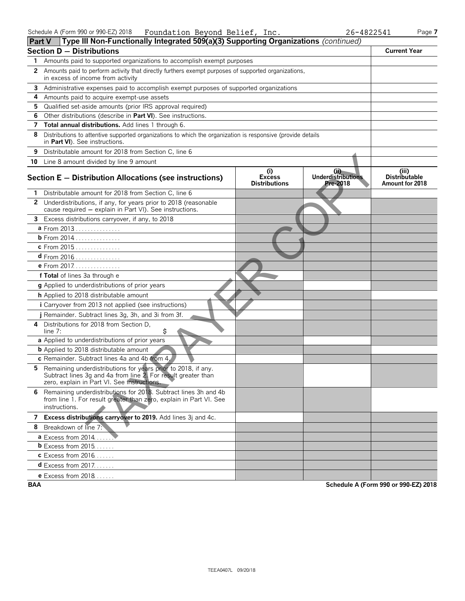| <b>Part V</b> | Type III Non-Functionally Integrated 509(a)(3) Supporting Organizations <i>(continued)</i>                                                                                    |                                              |                                               |                                                  |
|---------------|-------------------------------------------------------------------------------------------------------------------------------------------------------------------------------|----------------------------------------------|-----------------------------------------------|--------------------------------------------------|
|               | <b>Section D - Distributions</b>                                                                                                                                              |                                              |                                               | <b>Current Year</b>                              |
| 1             | Amounts paid to supported organizations to accomplish exempt purposes                                                                                                         |                                              |                                               |                                                  |
| $\mathbf{2}$  | Amounts paid to perform activity that directly furthers exempt purposes of supported organizations,<br>in excess of income from activity                                      |                                              |                                               |                                                  |
| 3             | Administrative expenses paid to accomplish exempt purposes of supported organizations                                                                                         |                                              |                                               |                                                  |
| 4             | Amounts paid to acquire exempt-use assets                                                                                                                                     |                                              |                                               |                                                  |
| 5.            | Qualified set-aside amounts (prior IRS approval required)                                                                                                                     |                                              |                                               |                                                  |
| 6             | Other distributions (describe in Part VI). See instructions.                                                                                                                  |                                              |                                               |                                                  |
| 7             | Total annual distributions. Add lines 1 through 6.                                                                                                                            |                                              |                                               |                                                  |
| 8             | Distributions to attentive supported organizations to which the organization is responsive (provide details<br>in Part VI). See instructions.                                 |                                              |                                               |                                                  |
| 9             | Distributable amount for 2018 from Section C, line 6                                                                                                                          |                                              |                                               |                                                  |
| 10            | Line 8 amount divided by line 9 amount                                                                                                                                        |                                              |                                               |                                                  |
|               | Section $E -$ Distribution Allocations (see instructions)                                                                                                                     | (i)<br><b>Excess</b><br><b>Distributions</b> | (ii)<br><b>Underdistributions</b><br>Pre-2018 | (iii)<br><b>Distributable</b><br>Amount for 2018 |
| 1             | Distributable amount for 2018 from Section C, line 6                                                                                                                          |                                              |                                               |                                                  |
|               | 2 Underdistributions, if any, for years prior to 2018 (reasonable<br>cause required - explain in Part VI). See instructions.                                                  |                                              |                                               |                                                  |
| 3             | Excess distributions carryover, if any, to 2018                                                                                                                               |                                              |                                               |                                                  |
|               | a From 2013                                                                                                                                                                   |                                              |                                               |                                                  |
|               | <b>b</b> From 2014                                                                                                                                                            |                                              |                                               |                                                  |
|               | c From 2015                                                                                                                                                                   |                                              |                                               |                                                  |
|               | $d$ From 2016                                                                                                                                                                 |                                              |                                               |                                                  |
|               | e From 2017                                                                                                                                                                   |                                              |                                               |                                                  |
|               | f Total of lines 3a through e                                                                                                                                                 |                                              |                                               |                                                  |
|               | <b>g</b> Applied to underdistributions of prior years                                                                                                                         |                                              |                                               |                                                  |
|               | h Applied to 2018 distributable amount                                                                                                                                        |                                              |                                               |                                                  |
|               | <i>i</i> Carryover from 2013 not applied (see instructions)                                                                                                                   |                                              |                                               |                                                  |
|               | j Remainder. Subtract lines 3g, 3h, and 3i from 3f.                                                                                                                           |                                              |                                               |                                                  |
| 4             | Distributions for 2018 from Section D.<br>\$<br>line $7:$                                                                                                                     |                                              |                                               |                                                  |
|               | a Applied to underdistributions of prior years                                                                                                                                |                                              |                                               |                                                  |
|               | <b>b</b> Applied to 2018 distributable amount                                                                                                                                 |                                              |                                               |                                                  |
|               | c Remainder. Subtract lines 4a and 4b from 4.                                                                                                                                 |                                              |                                               |                                                  |
| 5             | Remaining underdistributions for years prior to 2018, if any.<br>Subtract lines 3g and 4a from line 2. For result greater than<br>zero, explain in Part VI. See instructions. |                                              |                                               |                                                  |
|               | 6 Remaining underdistributions for 2018. Subtract lines 3h and 4b<br>from line 1. For result greater than zero, explain in Part VI. See<br>instructions.                      |                                              |                                               |                                                  |
|               | 7 Excess distributions carryover to 2019. Add lines 3j and 4c.                                                                                                                |                                              |                                               |                                                  |
| 8             | Breakdown of line 7:                                                                                                                                                          |                                              |                                               |                                                  |
|               | <b>a</b> Excess from 2014                                                                                                                                                     |                                              |                                               |                                                  |
|               | $b$ Excess from 2015                                                                                                                                                          |                                              |                                               |                                                  |
|               | <b>c</b> Excess from 2016                                                                                                                                                     |                                              |                                               |                                                  |
|               | <b>d</b> Excess from 2017                                                                                                                                                     |                                              |                                               |                                                  |
|               | <b>e</b> Excess from 2018                                                                                                                                                     |                                              |                                               |                                                  |

**BAA** 

Schedule A (Form 990 or 990-EZ) 2018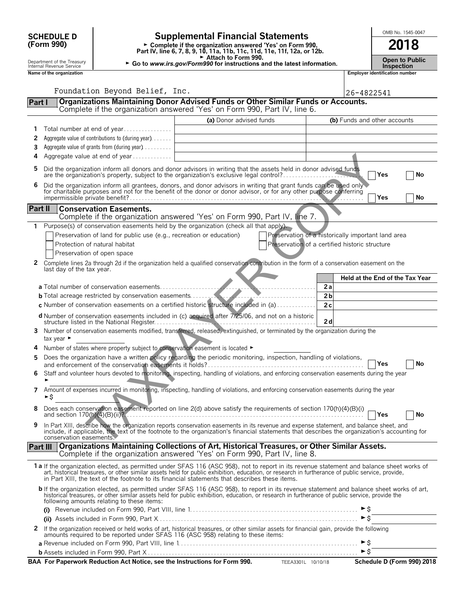| <b>SCHEDULE D</b>                                      |                                                                                                                                                                                                                                                                                                                                                                                                | <b>Supplemental Financial Statements</b>                                                                                               |                                                    | OMB No. 1545-0047                          |
|--------------------------------------------------------|------------------------------------------------------------------------------------------------------------------------------------------------------------------------------------------------------------------------------------------------------------------------------------------------------------------------------------------------------------------------------------------------|----------------------------------------------------------------------------------------------------------------------------------------|----------------------------------------------------|--------------------------------------------|
| (Form 990)                                             |                                                                                                                                                                                                                                                                                                                                                                                                | ► Complete if the organization answered 'Yes' on Form 990,<br>Part IV, line 6, 7, 8, 9, 10, 11a, 11b, 11c, 11d, 11e, 11f, 12a, or 12b. |                                                    | 2018                                       |
| Department of the Treasury<br>Internal Revenue Service |                                                                                                                                                                                                                                                                                                                                                                                                | Attach to Form 990.<br>► Go to www.irs.gov/Form990 for instructions and the latest information.                                        |                                                    | <b>Open to Public</b><br><b>Inspection</b> |
| Name of the organization                               |                                                                                                                                                                                                                                                                                                                                                                                                |                                                                                                                                        |                                                    | Employer identification number             |
|                                                        |                                                                                                                                                                                                                                                                                                                                                                                                |                                                                                                                                        |                                                    |                                            |
|                                                        | Foundation Beyond Belief, Inc.                                                                                                                                                                                                                                                                                                                                                                 |                                                                                                                                        | 26-4822541                                         |                                            |
| Part I                                                 | Organizations Maintaining Donor Advised Funds or Other Similar Funds or Accounts.<br>Complete if the organization answered 'Yes' on Form 990, Part IV, line 6.                                                                                                                                                                                                                                 |                                                                                                                                        |                                                    |                                            |
|                                                        |                                                                                                                                                                                                                                                                                                                                                                                                | (a) Donor advised funds                                                                                                                | (b) Funds and other accounts                       |                                            |
|                                                        | Total number at end of year                                                                                                                                                                                                                                                                                                                                                                    |                                                                                                                                        |                                                    |                                            |
| 2                                                      | Aggregate value of contributions to (during year)                                                                                                                                                                                                                                                                                                                                              |                                                                                                                                        |                                                    |                                            |
| 3                                                      | Aggregate value of grants from (during year)                                                                                                                                                                                                                                                                                                                                                   |                                                                                                                                        |                                                    |                                            |
|                                                        | Aggregate value at end of year                                                                                                                                                                                                                                                                                                                                                                 |                                                                                                                                        |                                                    |                                            |
| 5                                                      | Did the organization inform all donors and donor advisors in writing that the assets held in donor advised funds<br>are the organization's property, subject to the organization's exclusive legal control?                                                                                                                                                                                    |                                                                                                                                        |                                                    | Yes<br>No                                  |
| 6                                                      | Did the organization inform all grantees, donors, and donor advisors in writing that grant funds can be used only<br>for charitable purposes and not for the benefit of the donor or donor advisor, or for any other purpose conferring                                                                                                                                                        |                                                                                                                                        |                                                    | No<br>Yes                                  |
| Part II                                                | <b>Conservation Easements.</b>                                                                                                                                                                                                                                                                                                                                                                 |                                                                                                                                        |                                                    |                                            |
|                                                        | Complete if the organization answered 'Yes' on Form 990, Part IV, line 7.                                                                                                                                                                                                                                                                                                                      |                                                                                                                                        |                                                    |                                            |
| 1.                                                     | Purpose(s) of conservation easements held by the organization (check all that apply).                                                                                                                                                                                                                                                                                                          |                                                                                                                                        |                                                    |                                            |
|                                                        | Preservation of land for public use (e.g., recreation or education)                                                                                                                                                                                                                                                                                                                            |                                                                                                                                        | Preservation of a historically important land area |                                            |
|                                                        | Protection of natural habitat                                                                                                                                                                                                                                                                                                                                                                  |                                                                                                                                        | Preservation of a certified historic structure     |                                            |
|                                                        | Preservation of open space                                                                                                                                                                                                                                                                                                                                                                     |                                                                                                                                        |                                                    |                                            |
| 2                                                      | Complete lines 2a through 2d if the organization held a qualified conservation contribution in the form of a conservation easement on the<br>last day of the tax year.                                                                                                                                                                                                                         |                                                                                                                                        |                                                    | Held at the End of the Tax Year            |
|                                                        |                                                                                                                                                                                                                                                                                                                                                                                                |                                                                                                                                        | 2a                                                 |                                            |
|                                                        |                                                                                                                                                                                                                                                                                                                                                                                                |                                                                                                                                        | 2 <sub>b</sub>                                     |                                            |
|                                                        | c Number of conservation easements on a certified historic structure included in (a)                                                                                                                                                                                                                                                                                                           |                                                                                                                                        | 2c                                                 |                                            |
|                                                        | d Number of conservation easements included in (c) acquired after 7/25/06, and not on a historic                                                                                                                                                                                                                                                                                               |                                                                                                                                        | 2d                                                 |                                            |
| 3<br>tax year $\blacktriangleright$                    | Number of conservation easements modified, transferred, released, extinguished, or terminated by the organization during the                                                                                                                                                                                                                                                                   |                                                                                                                                        |                                                    |                                            |
|                                                        | Number of states where property subject to conservation easement is located ►                                                                                                                                                                                                                                                                                                                  |                                                                                                                                        |                                                    |                                            |
|                                                        | Does the organization have a written policy regarding the periodic monitoring, inspection, handling of violations,                                                                                                                                                                                                                                                                             |                                                                                                                                        |                                                    | TYes<br>$\mathsf{T}$ No                    |
| 6                                                      | Staff and volunteer hours devoted to monitoring, inspecting, handling of violations, and enforcing conservation easements during the year                                                                                                                                                                                                                                                      |                                                                                                                                        |                                                    |                                            |
| 7<br>►\$                                               | Amount of expenses incurred in monitoring, inspecting, handling of violations, and enforcing conservation easements during the year                                                                                                                                                                                                                                                            |                                                                                                                                        |                                                    |                                            |
| 8                                                      | Does each conservation easement reported on line 2(d) above satisfy the requirements of section 170(h)(4)(B)(i)<br>and section $170(h)(4)(B)(ii)$ ?                                                                                                                                                                                                                                            |                                                                                                                                        |                                                    | Yes<br>No                                  |
| 9                                                      | In Part XIII, describe how the organization reports conservation easements in its revenue and expense statement, and balance sheet, and<br>include, if applicable, the text of the footnote to the organization's financial statements that describes the organization's accounting for<br>conservation easements.                                                                             |                                                                                                                                        |                                                    |                                            |
| Part III                                               | Organizations Maintaining Collections of Art, Historical Treasures, or Other Similar Assets.                                                                                                                                                                                                                                                                                                   |                                                                                                                                        |                                                    |                                            |
|                                                        | Complete if the organization answered 'Yes' on Form 990, Part IV, line 8.                                                                                                                                                                                                                                                                                                                      |                                                                                                                                        |                                                    |                                            |
|                                                        | 1a If the organization elected, as permitted under SFAS 116 (ASC 958), not to report in its revenue statement and balance sheet works of<br>art, historical treasures, or other similar assets held for public exhibition, education, or research in furtherance of public service, provide,<br>in Part XIII, the text of the footnote to its financial statements that describes these items. |                                                                                                                                        |                                                    |                                            |
|                                                        | <b>b</b> If the organization elected, as permitted under SFAS 116 (ASC 958), to report in its revenue statement and balance sheet works of art,<br>historical treasures, or other similar assets held for public exhibition, education, or research in furtherance of public service, provide the<br>following amounts relating to these items:                                                |                                                                                                                                        |                                                    |                                            |
|                                                        |                                                                                                                                                                                                                                                                                                                                                                                                |                                                                                                                                        | ►\$<br>$\triangleright$ \$                         |                                            |
| $\mathbf{z}$                                           |                                                                                                                                                                                                                                                                                                                                                                                                |                                                                                                                                        |                                                    |                                            |
|                                                        | If the organization received or held works of art, historical treasures, or other similar assets for financial gain, provide the following<br>amounts required to be reported under SFAS 116 (ASC 958) relating to these items:                                                                                                                                                                |                                                                                                                                        |                                                    |                                            |

| BAA For Paperwork Reduction Act Notice, see the Instructions for Form 990. |  |  |  | TEEA3301L 10/10/18 | <b>Sched</b> |  |
|----------------------------------------------------------------------------|--|--|--|--------------------|--------------|--|

Schedule D (Form 990) 2018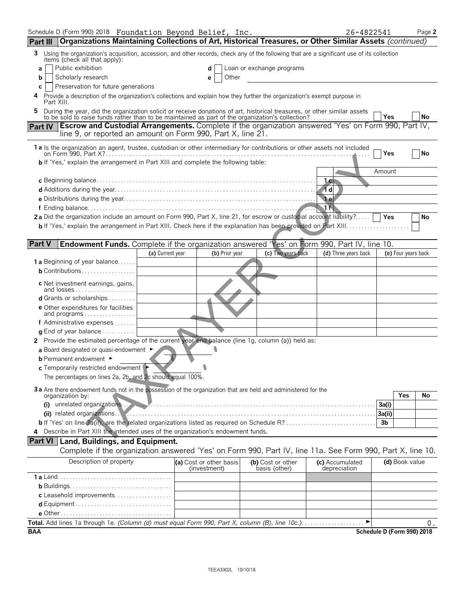| Schedule D (Form 990) 2018 Foundation Beyond Belief, Inc.                                                                                                                                                                      |                  |                                         |                                    | 26-4822541           |                            | Page 2 |
|--------------------------------------------------------------------------------------------------------------------------------------------------------------------------------------------------------------------------------|------------------|-----------------------------------------|------------------------------------|----------------------|----------------------------|--------|
| Organizations Maintaining Collections of Art, Historical Treasures, or Other Similar Assets (continued)<br>Part III                                                                                                            |                  |                                         |                                    |                      |                            |        |
| Using the organization's acquisition, accession, and other records, check any of the following that are a significant use of its collection<br>3<br>items (check all that apply):                                              |                  |                                         |                                    |                      |                            |        |
| Public exhibition<br>a                                                                                                                                                                                                         |                  | d                                       | Loan or exchange programs          |                      |                            |        |
| Scholarly research<br>b                                                                                                                                                                                                        |                  | Other<br>е                              |                                    |                      |                            |        |
| Preservation for future generations<br>C                                                                                                                                                                                       |                  |                                         |                                    |                      |                            |        |
| Provide a description of the organization's collections and explain how they further the organization's exempt purpose in<br>4<br>Part XIII.                                                                                   |                  |                                         |                                    |                      |                            |        |
| During the year, did the organization solicit or receive donations of art, historical treasures, or other similar assets to be sold to raise funds rather than to be maintained as part of the organization's collection?<br>5 |                  |                                         |                                    |                      | Yes                        | No     |
| <b>Escrow and Custodial Arrangements.</b> Complete if the organization answered 'Yes' on Form 990, Part IV,<br><b>Part IV</b><br>line 9, or reported an amount on Form 990, Part X, line 21.                                   |                  |                                         |                                    |                      |                            |        |
| 1a Is the organization an agent, trustee, custodian or other intermediary for contributions or other assets not included                                                                                                       |                  |                                         |                                    |                      | Yes                        | No     |
| <b>b</b> If 'Yes,' explain the arrangement in Part XIII and complete the following table:                                                                                                                                      |                  |                                         |                                    |                      |                            |        |
|                                                                                                                                                                                                                                |                  |                                         |                                    |                      | Amount                     |        |
|                                                                                                                                                                                                                                |                  |                                         |                                    | 1 <sub>c</sub>       |                            |        |
|                                                                                                                                                                                                                                |                  |                                         |                                    |                      |                            |        |
|                                                                                                                                                                                                                                |                  |                                         |                                    | <b>The</b>           |                            |        |
|                                                                                                                                                                                                                                |                  |                                         |                                    | 1 <sub>h</sub>       |                            |        |
| 2a Did the organization include an amount on Form 990, Part X, line 21, for escrow or custodial account liability?                                                                                                             |                  |                                         |                                    |                      | Yes                        | No     |
|                                                                                                                                                                                                                                |                  |                                         |                                    |                      |                            |        |
| <b>Part V</b><br><b>Endowment Funds.</b> Complete if the organization answered 'Yes' on Form 990, Part IV, line 10.                                                                                                            |                  |                                         |                                    |                      |                            |        |
|                                                                                                                                                                                                                                | (a) Current year | (b) Prior year                          | (c) Two years back                 | (d) Three years back | (e) Four years back        |        |
| <b>1 a</b> Beginning of year balance                                                                                                                                                                                           |                  |                                         |                                    |                      |                            |        |
| <b>b</b> Contributions                                                                                                                                                                                                         |                  |                                         |                                    |                      |                            |        |
| c Net investment earnings, gains,                                                                                                                                                                                              |                  |                                         |                                    |                      |                            |        |
| d Grants or scholarships                                                                                                                                                                                                       |                  |                                         |                                    |                      |                            |        |
| <b>e</b> Other expenditures for facilities<br>and programs                                                                                                                                                                     |                  |                                         |                                    |                      |                            |        |
| f Administrative expenses                                                                                                                                                                                                      |                  |                                         |                                    |                      |                            |        |
| <b>g</b> End of year balance $\ldots \ldots \ldots$                                                                                                                                                                            |                  |                                         |                                    |                      |                            |        |
| 2 Provide the estimated percentage of the current year end balance (line 1g, column (a)) held as:                                                                                                                              |                  |                                         |                                    |                      |                            |        |
| a Board designated or quasi-endowment $\blacktriangleright$                                                                                                                                                                    |                  |                                         |                                    |                      |                            |        |
| <b>b</b> Permanent endowment ►                                                                                                                                                                                                 |                  |                                         |                                    |                      |                            |        |
| c Temporarily restricted endowment                                                                                                                                                                                             |                  |                                         |                                    |                      |                            |        |
| The percentages on lines 2a, 2b, and 2c should equal 100%.                                                                                                                                                                     |                  |                                         |                                    |                      |                            |        |
| 3a Are there endowment funds not in the possession of the organization that are held and administered for the                                                                                                                  |                  |                                         |                                    |                      |                            |        |
| organization by:                                                                                                                                                                                                               |                  |                                         |                                    |                      | <b>Yes</b>                 | No     |
| (i) unrelated organizations.<br>(ii) related organizations.                                                                                                                                                                    |                  |                                         |                                    |                      | 3a(i)                      |        |
|                                                                                                                                                                                                                                |                  |                                         |                                    |                      | 3a(ii)<br>3 <sub>b</sub>   |        |
| Describe in Part XIII the intended uses of the organization's endowment funds.<br>4                                                                                                                                            |                  |                                         |                                    |                      |                            |        |
| Part VI Land, Buildings, and Equipment.                                                                                                                                                                                        |                  |                                         |                                    |                      |                            |        |
| Complete if the organization answered 'Yes' on Form 990, Part IV, line 11a. See Form 990, Part X, line 10.                                                                                                                     |                  |                                         |                                    |                      |                            |        |
| Description of property                                                                                                                                                                                                        |                  |                                         |                                    | (c) Accumulated      | (d) Book value             |        |
|                                                                                                                                                                                                                                |                  | (a) Cost or other basis<br>(investment) | (b) Cost or other<br>basis (other) | depreciation         |                            |        |
|                                                                                                                                                                                                                                |                  |                                         |                                    |                      |                            |        |
|                                                                                                                                                                                                                                |                  |                                         |                                    |                      |                            |        |
| c Leasehold improvements                                                                                                                                                                                                       |                  |                                         |                                    |                      |                            |        |
|                                                                                                                                                                                                                                |                  |                                         |                                    |                      |                            |        |
|                                                                                                                                                                                                                                |                  |                                         |                                    |                      |                            |        |
|                                                                                                                                                                                                                                |                  |                                         |                                    |                      |                            | 0.     |
| <b>BAA</b>                                                                                                                                                                                                                     |                  |                                         |                                    |                      | Schedule D (Form 990) 2018 |        |

TEEA3302L 10/10/18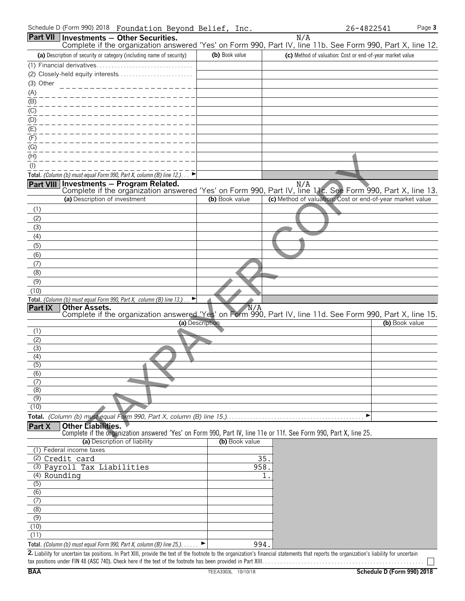|                           |                               | Schedule D (Form 990) 2018 Fo <u>undation Beyond Belief, Inc.</u>                                                                                                                  |                 |                |     | 26-4822541                                                |                | Page 3 |
|---------------------------|-------------------------------|------------------------------------------------------------------------------------------------------------------------------------------------------------------------------------|-----------------|----------------|-----|-----------------------------------------------------------|----------------|--------|
|                           |                               | Part VII   Investments - Other Securities.                                                                                                                                         |                 |                | N/A |                                                           |                |        |
|                           |                               | Complete if the organization answered 'Yes' on Form 990, Part IV, line 11b. See Form 990, Part X, line 12.<br>(a) Description of security or category (including name of security) | (b) Book value  |                |     | (c) Method of valuation: Cost or end-of-year market value |                |        |
|                           |                               | (1) Financial derivatives                                                                                                                                                          |                 |                |     |                                                           |                |        |
|                           |                               |                                                                                                                                                                                    |                 |                |     |                                                           |                |        |
| (3) Other                 |                               |                                                                                                                                                                                    |                 |                |     |                                                           |                |        |
| (A)                       |                               | ___________________                                                                                                                                                                |                 |                |     |                                                           |                |        |
| (B)                       |                               | __________________                                                                                                                                                                 |                 |                |     |                                                           |                |        |
| $\overline{C}$            |                               |                                                                                                                                                                                    |                 |                |     |                                                           |                |        |
| (D)                       |                               |                                                                                                                                                                                    |                 |                |     |                                                           |                |        |
| $\overline{\mathsf{(E)}}$ |                               |                                                                                                                                                                                    |                 |                |     |                                                           |                |        |
| (F)                       |                               |                                                                                                                                                                                    |                 |                |     |                                                           |                |        |
| (G)                       |                               |                                                                                                                                                                                    |                 |                |     |                                                           |                |        |
| (H)                       |                               |                                                                                                                                                                                    |                 |                |     |                                                           |                |        |
| $($ l $)$                 |                               |                                                                                                                                                                                    |                 |                |     |                                                           |                |        |
|                           |                               | Total. (Column (b) must equal Form 990, Part X, column (B) line 12.)                                                                                                               |                 |                |     |                                                           |                |        |
|                           |                               | Part VIII Investments - Program Related.                                                                                                                                           |                 |                | N/A |                                                           |                |        |
|                           | (a) Description of investment | Complete if the organization answered 'Yes' on Form 990, Part IV, line 11c. See Form 990, Part X, line 13.                                                                         | (b) Book value  |                |     | (c) Method of valuation: Cost or end-of-year market value |                |        |
|                           |                               |                                                                                                                                                                                    |                 |                |     |                                                           |                |        |
| (1)                       |                               |                                                                                                                                                                                    |                 |                |     |                                                           |                |        |
| (2)<br>(3)                |                               |                                                                                                                                                                                    |                 |                |     |                                                           |                |        |
| (4)                       |                               |                                                                                                                                                                                    |                 |                |     |                                                           |                |        |
| (5)                       |                               |                                                                                                                                                                                    |                 |                |     |                                                           |                |        |
| (6)                       |                               |                                                                                                                                                                                    |                 |                |     |                                                           |                |        |
| (7)                       |                               |                                                                                                                                                                                    |                 |                |     |                                                           |                |        |
| (8)                       |                               |                                                                                                                                                                                    |                 |                |     |                                                           |                |        |
| (9)                       |                               |                                                                                                                                                                                    |                 |                |     |                                                           |                |        |
| (10)                      |                               |                                                                                                                                                                                    |                 |                |     |                                                           |                |        |
|                           |                               | Total. (Column (b) must equal Form 990, Part X, column (B) line 13.).                                                                                                              |                 |                |     |                                                           |                |        |
| Part IX                   | <b>Other Assets.</b>          | Complete if the organization answered 'Yes' on Form 990, Part IV, line 11d. See Form 990, Part X, line 15.                                                                         |                 | N/A            |     |                                                           |                |        |
|                           |                               |                                                                                                                                                                                    | (a) Description |                |     |                                                           | (b) Book value |        |
| (1)                       |                               |                                                                                                                                                                                    |                 |                |     |                                                           |                |        |
| (2)                       |                               |                                                                                                                                                                                    |                 |                |     |                                                           |                |        |
| (3)                       |                               |                                                                                                                                                                                    |                 |                |     |                                                           |                |        |
| (4)                       |                               |                                                                                                                                                                                    |                 |                |     |                                                           |                |        |
| (5)                       |                               |                                                                                                                                                                                    |                 |                |     |                                                           |                |        |
| (6)<br>(7)                |                               |                                                                                                                                                                                    |                 |                |     |                                                           |                |        |
| (8)                       |                               |                                                                                                                                                                                    |                 |                |     |                                                           |                |        |
| (9)                       |                               |                                                                                                                                                                                    |                 |                |     |                                                           |                |        |
| (10)                      |                               |                                                                                                                                                                                    |                 |                |     |                                                           |                |        |
|                           |                               |                                                                                                                                                                                    |                 |                |     |                                                           |                |        |
| Part X                    | <b>Other Liabilities.</b>     |                                                                                                                                                                                    |                 |                |     |                                                           |                |        |
|                           |                               | Complete if the organization answered 'Yes' on Form 990, Part IV, line 11e or 11f. See Form 990, Part X, line 25.                                                                  |                 |                |     |                                                           |                |        |
|                           | (1) Federal income taxes      | (a) Description of liability                                                                                                                                                       |                 | (b) Book value |     |                                                           |                |        |
|                           | (2) Credit card               |                                                                                                                                                                                    |                 | 35.            |     |                                                           |                |        |
|                           | (3) Payroll Tax Liabilities   |                                                                                                                                                                                    |                 | 958            |     |                                                           |                |        |
| (4) Rounding              |                               |                                                                                                                                                                                    |                 |                | 1.  |                                                           |                |        |
| (5)                       |                               |                                                                                                                                                                                    |                 |                |     |                                                           |                |        |
| $\overline{(6)}$          |                               |                                                                                                                                                                                    |                 |                |     |                                                           |                |        |
| (7)                       |                               |                                                                                                                                                                                    |                 |                |     |                                                           |                |        |
| (8)<br>(9)                |                               |                                                                                                                                                                                    |                 |                |     |                                                           |                |        |
|                           |                               |                                                                                                                                                                                    |                 |                |     |                                                           |                |        |

Total. (Column (b) must equal Form 990, Part X, column (B) line 25.)...... <br>2. Liability for uncertain tax positions. In Part XIII, provide the text of the footnote to the organization's financial statements that reports t  $994.$ 

 $(10)$  $\overline{(11)}$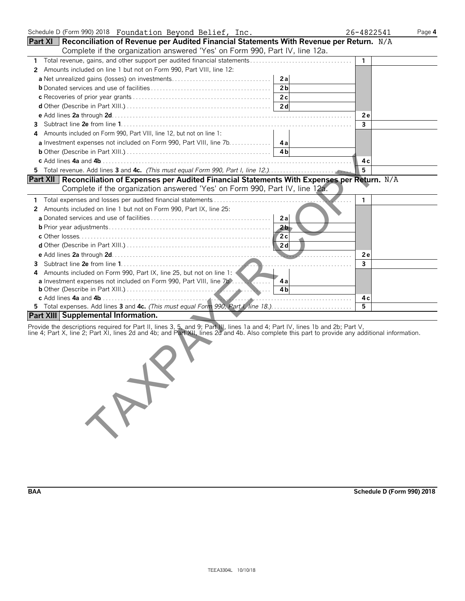| Schedule D (Form 990) 2018 Foundation Beyond Belief, Inc.                                              | 26-4822541 | Page 4 |
|--------------------------------------------------------------------------------------------------------|------------|--------|
| <b>Part XI</b> Reconciliation of Revenue per Audited Financial Statements With Revenue per Return. N/A |            |        |
| Complete if the organization answered 'Yes' on Form 990, Part IV, line 12a.                            |            |        |
|                                                                                                        |            |        |
| 2 Amounts included on line 1 but not on Form 990, Part VIII, line 12:                                  |            |        |
|                                                                                                        |            |        |
| 2 <sub>b</sub>                                                                                         |            |        |
|                                                                                                        |            |        |
|                                                                                                        |            |        |
|                                                                                                        | 2 e        |        |
|                                                                                                        | 3          |        |
| Amounts included on Form 990, Part VIII, line 12, but not on line 1:<br>4                              |            |        |
| <b>a</b> Investment expenses not included on Form 990, Part VIII, line 7b. 4a                          |            |        |
|                                                                                                        |            |        |
|                                                                                                        | 4c         |        |
| 5 Total revenue. Add lines 3 and 4c. (This must equal Form 990, Part I, line 12.)                      | 5          |        |
| Part XII Reconciliation of Expenses per Audited Financial Statements With Expenses per Return. N/A     |            |        |
| Complete if the organization answered 'Yes' on Form 990, Part IV, line 12a.                            |            |        |
|                                                                                                        |            |        |
| Amounts included on line 1 but not on Form 990, Part IX, line 25:<br>2                                 |            |        |
|                                                                                                        |            |        |
|                                                                                                        |            |        |
|                                                                                                        |            |        |
| 2d                                                                                                     |            |        |
|                                                                                                        | 2e         |        |
| 3.                                                                                                     | 3          |        |
| Amounts included on Form 990, Part IX, line 25, but not on line 1: ♦<br>4                              |            |        |
| a Investment expenses not included on Form 990, Part VIII, line 7b.<br>4al                             |            |        |
| 4 <sub>h</sub>                                                                                         |            |        |
|                                                                                                        | 4 c        |        |
| 5 Total expenses. Add lines 3 and 4c. (This must equal Form 990, Part I, line 18.)                     | 5          |        |
| Part XIII Supplemental Information.                                                                    |            |        |

Provide the descriptions required for Part II, lines 3, 5, and 9; Part II, lines 1a and 4; Part IV, lines 1b and 2b; Part V, line 4; Part X, line 2; Part XI, lines 2d and 4b; and Part XII, lines 2d and 4b. Also complete th

 $x + y + x$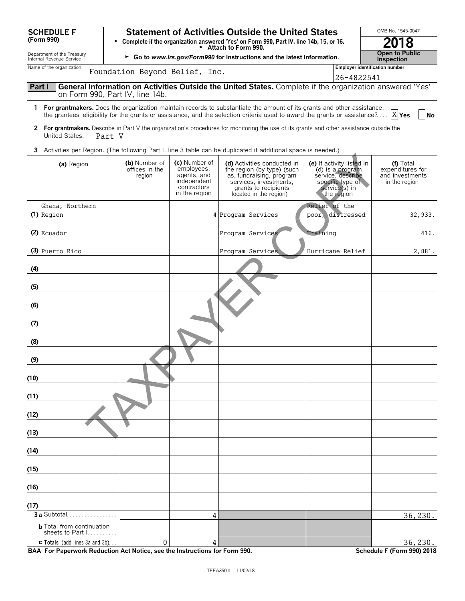| <b>SCHEDULE F</b>                                                               |                                           |                                                                                           | <b>Statement of Activities Outside the United States</b>                                                                                                                                                                                                                |                                                                                                                       | OMB No. 1545-0047                                                 |
|---------------------------------------------------------------------------------|-------------------------------------------|-------------------------------------------------------------------------------------------|-------------------------------------------------------------------------------------------------------------------------------------------------------------------------------------------------------------------------------------------------------------------------|-----------------------------------------------------------------------------------------------------------------------|-------------------------------------------------------------------|
| (Form 990)                                                                      |                                           |                                                                                           | > Complete if the organization answered 'Yes' on Form 990, Part IV, line 14b, 15, or 16.<br>Attach to Form 990.                                                                                                                                                         |                                                                                                                       | 2018                                                              |
| Department of the Treasury<br>Internal Revenue Service                          |                                           |                                                                                           | ► Go to www.irs.gov/Form990 for instructions and the latest information.                                                                                                                                                                                                |                                                                                                                       | <b>Open to Public</b><br><b>Inspection</b>                        |
| Name of the organization                                                        | Foundation Beyond Belief, Inc.            |                                                                                           |                                                                                                                                                                                                                                                                         |                                                                                                                       | <b>Employer identification number</b>                             |
| Part I                                                                          |                                           |                                                                                           | General Information on Activities Outside the United States. Complete if the organization answered 'Yes'                                                                                                                                                                | 26-4822541                                                                                                            |                                                                   |
|                                                                                 | on Form 990, Part IV, line 14b.           |                                                                                           |                                                                                                                                                                                                                                                                         |                                                                                                                       |                                                                   |
|                                                                                 |                                           |                                                                                           | 1 For grantmakers. Does the organization maintain records to substantiate the amount of its grants and other assistance,<br>the grantees' eligibility for the grants or assistance, and the selection criteria used to award the grants or assistance? $\ldots  X $ Yes |                                                                                                                       | <b>No</b>                                                         |
| United States.<br>Part V                                                        |                                           |                                                                                           | 2 For grantmakers. Describe in Part V the organization's procedures for monitoring the use of its grants and other assistance outside the                                                                                                                               |                                                                                                                       |                                                                   |
|                                                                                 |                                           |                                                                                           | 3 Activities per Region. (The following Part I, line 3 table can be duplicated if additional space is needed.)                                                                                                                                                          |                                                                                                                       |                                                                   |
| (a) Region                                                                      | (b) Number of<br>offices in the<br>region | (c) Number of<br>employees,<br>agents, and<br>independent<br>contractors<br>in the region | (d) Activities conducted in<br>the region (by type) (such<br>as, fundraising, program<br>services, investments,<br>grants to recipients<br>located in the region)                                                                                                       | (e) If activity listed in<br>(d) is a program<br>service, describe<br>specific type of<br>service(s) in<br>the region | (f) Total<br>expenditures for<br>and investments<br>in the region |
| Ghana, Northern<br>$(1)$ Region                                                 |                                           |                                                                                           | 4 Program Services                                                                                                                                                                                                                                                      | Relief of the<br>poor, distressed                                                                                     | 32,933.                                                           |
| $(2)$ Ecuador                                                                   |                                           |                                                                                           | Program Services                                                                                                                                                                                                                                                        | Training                                                                                                              | 416.                                                              |
| (3) Puerto Rico                                                                 |                                           |                                                                                           | Program Services                                                                                                                                                                                                                                                        | Hurricane Relief                                                                                                      | 2,881.                                                            |
| (4)                                                                             |                                           |                                                                                           |                                                                                                                                                                                                                                                                         |                                                                                                                       |                                                                   |
| (5)                                                                             |                                           |                                                                                           |                                                                                                                                                                                                                                                                         |                                                                                                                       |                                                                   |
| (6)                                                                             |                                           |                                                                                           |                                                                                                                                                                                                                                                                         |                                                                                                                       |                                                                   |
| (7)                                                                             |                                           |                                                                                           |                                                                                                                                                                                                                                                                         |                                                                                                                       |                                                                   |
| (8)                                                                             |                                           |                                                                                           |                                                                                                                                                                                                                                                                         |                                                                                                                       |                                                                   |
| (9)                                                                             |                                           |                                                                                           |                                                                                                                                                                                                                                                                         |                                                                                                                       |                                                                   |
| (10)                                                                            |                                           |                                                                                           |                                                                                                                                                                                                                                                                         |                                                                                                                       |                                                                   |
| (11)                                                                            |                                           |                                                                                           |                                                                                                                                                                                                                                                                         |                                                                                                                       |                                                                   |
| (12)                                                                            |                                           |                                                                                           |                                                                                                                                                                                                                                                                         |                                                                                                                       |                                                                   |
| (13)                                                                            |                                           |                                                                                           |                                                                                                                                                                                                                                                                         |                                                                                                                       |                                                                   |
| (14)                                                                            |                                           |                                                                                           |                                                                                                                                                                                                                                                                         |                                                                                                                       |                                                                   |
| (15)                                                                            |                                           |                                                                                           |                                                                                                                                                                                                                                                                         |                                                                                                                       |                                                                   |
| (16)                                                                            |                                           |                                                                                           |                                                                                                                                                                                                                                                                         |                                                                                                                       |                                                                   |
| (17)                                                                            |                                           |                                                                                           |                                                                                                                                                                                                                                                                         |                                                                                                                       |                                                                   |
| 3 a Subtotal.<br><b>b</b> Total from continuation<br>sheets to Part $1, \ldots$ |                                           | 4                                                                                         |                                                                                                                                                                                                                                                                         |                                                                                                                       | 36,230.                                                           |
| c Totals (add lines 3a and 3b)                                                  | $\boldsymbol{0}$                          | 4                                                                                         |                                                                                                                                                                                                                                                                         |                                                                                                                       | 36, 230.                                                          |

BAA For Paperwork Reduction Act Notice, see the Instructions for Form 990.

Schedule F (Form 990) 2018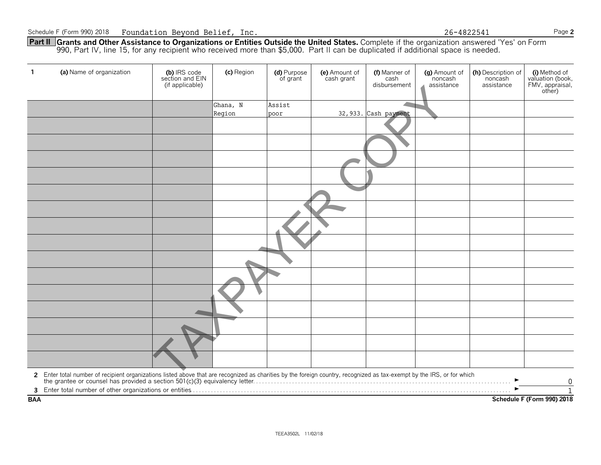Page 2

**Part II** Grants and Other Assistance to Organizations or Entities Outside the United States. Complete if the organization answered 'Yes' on Form 990, Part IV, line 15, for any recipient who received more than \$5,000. Part

| -1         | (a) Name of organization                                                                                                                                                                                                          | (b) IRS code<br>section and EIN<br>(if applicable) | (c) Region | (d) Purpose<br>of grant | (e) Amount of<br>cash grant | (f) Manner of<br>cash<br>disbursement | (g) Amount of<br>noncash<br>assistance | (h) Description of<br>noncash<br>assistance | (i) Method of<br>valuation (book,<br>FMV, appraisal,<br>other) |
|------------|-----------------------------------------------------------------------------------------------------------------------------------------------------------------------------------------------------------------------------------|----------------------------------------------------|------------|-------------------------|-----------------------------|---------------------------------------|----------------------------------------|---------------------------------------------|----------------------------------------------------------------|
|            |                                                                                                                                                                                                                                   |                                                    | Ghana, N   | Assist                  |                             |                                       |                                        |                                             |                                                                |
|            |                                                                                                                                                                                                                                   |                                                    | Region     | poor                    |                             | 32,933. Cash payment                  |                                        |                                             |                                                                |
|            |                                                                                                                                                                                                                                   |                                                    |            |                         |                             |                                       |                                        |                                             |                                                                |
|            |                                                                                                                                                                                                                                   |                                                    |            |                         |                             |                                       |                                        |                                             |                                                                |
|            |                                                                                                                                                                                                                                   |                                                    |            |                         |                             |                                       |                                        |                                             |                                                                |
|            |                                                                                                                                                                                                                                   |                                                    |            |                         |                             |                                       |                                        |                                             |                                                                |
|            |                                                                                                                                                                                                                                   |                                                    |            |                         |                             |                                       |                                        |                                             |                                                                |
|            |                                                                                                                                                                                                                                   |                                                    |            |                         |                             |                                       |                                        |                                             |                                                                |
|            |                                                                                                                                                                                                                                   |                                                    |            |                         |                             |                                       |                                        |                                             |                                                                |
|            |                                                                                                                                                                                                                                   |                                                    |            |                         |                             |                                       |                                        |                                             |                                                                |
|            |                                                                                                                                                                                                                                   |                                                    |            |                         |                             |                                       |                                        |                                             |                                                                |
|            |                                                                                                                                                                                                                                   |                                                    |            |                         |                             |                                       |                                        |                                             |                                                                |
|            |                                                                                                                                                                                                                                   |                                                    |            |                         |                             |                                       |                                        |                                             |                                                                |
|            |                                                                                                                                                                                                                                   |                                                    |            |                         |                             |                                       |                                        |                                             |                                                                |
|            |                                                                                                                                                                                                                                   |                                                    |            |                         |                             |                                       |                                        |                                             |                                                                |
|            |                                                                                                                                                                                                                                   |                                                    |            |                         |                             |                                       |                                        |                                             |                                                                |
|            |                                                                                                                                                                                                                                   |                                                    |            |                         |                             |                                       |                                        |                                             |                                                                |
|            | 2 Enter total number of recipient organizations listed above that are recognized as charities by the foreign country, recognized as tax-exempt by the IRS, or for which<br>the grantee or counsel has provided a section 501(c)(3 |                                                    |            |                         |                             |                                       |                                        |                                             | 0                                                              |
|            |                                                                                                                                                                                                                                   |                                                    |            |                         |                             |                                       |                                        |                                             | $\mathbf{1}$                                                   |
| <b>BAA</b> |                                                                                                                                                                                                                                   |                                                    |            |                         |                             |                                       |                                        |                                             | Schedule F (Form 990) 2018                                     |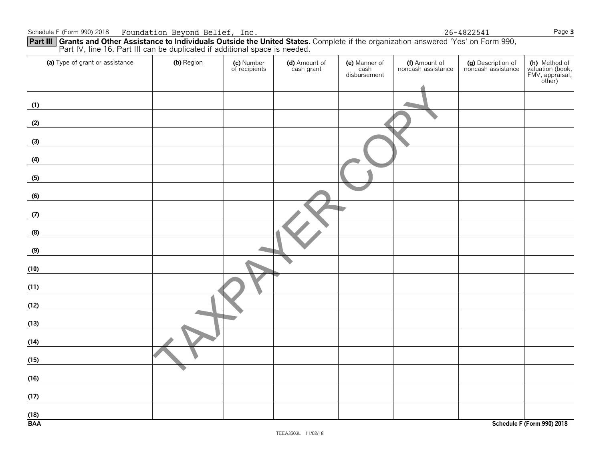**Part III** Grants and Other Assistance to Individuals Outside the United States. Complete if the organization answered 'Yes' on Form 990, Part IV, line 16. Part III can be duplicated if additional space is needed.

| (a) Type of grant or assistance | (b) Region | (c) Number<br>of recipients | (d) Amount of<br>cash grant | (e) Manner of<br>cash<br>disbursement | (f) Amount of<br>noncash assistance | (g) Description of<br>noncash assistance | (h) Method of<br>valuation (book,<br>FMV, appraisal,<br>other) |
|---------------------------------|------------|-----------------------------|-----------------------------|---------------------------------------|-------------------------------------|------------------------------------------|----------------------------------------------------------------|
| (1)                             |            |                             |                             |                                       |                                     |                                          |                                                                |
| (2)                             |            |                             |                             |                                       |                                     |                                          |                                                                |
| (3)                             |            |                             |                             |                                       |                                     |                                          |                                                                |
| (4)                             |            |                             |                             |                                       |                                     |                                          |                                                                |
| (5)                             |            |                             |                             |                                       |                                     |                                          |                                                                |
| (6)                             |            |                             |                             |                                       |                                     |                                          |                                                                |
| (7)                             |            |                             |                             |                                       |                                     |                                          |                                                                |
| (8)                             |            |                             |                             |                                       |                                     |                                          |                                                                |
| (9)                             |            |                             |                             |                                       |                                     |                                          |                                                                |
| (10)                            |            |                             |                             |                                       |                                     |                                          |                                                                |
| (11)                            |            |                             |                             |                                       |                                     |                                          |                                                                |
| (12)                            |            |                             |                             |                                       |                                     |                                          |                                                                |
| (13)                            |            |                             |                             |                                       |                                     |                                          |                                                                |
| (14)                            |            |                             |                             |                                       |                                     |                                          |                                                                |
| (15)                            |            |                             |                             |                                       |                                     |                                          |                                                                |
| (16)                            |            |                             |                             |                                       |                                     |                                          |                                                                |
| (17)                            |            |                             |                             |                                       |                                     |                                          |                                                                |
| $\frac{(18)}{BAA}$              |            |                             |                             |                                       |                                     |                                          | Schedule F (Form 990) 2018                                     |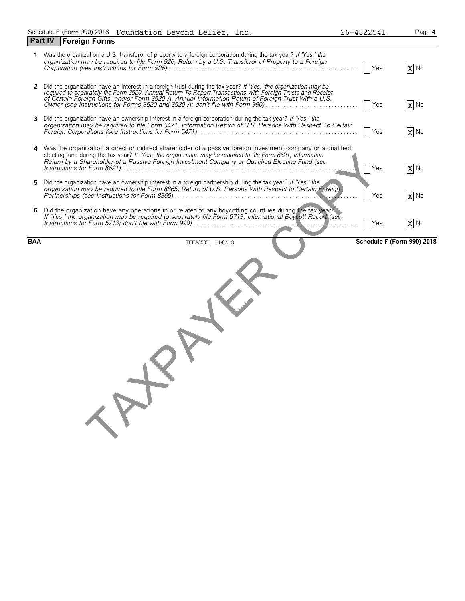| Schedule F (Form 990) 2018 Foundation Beyond Belief, Inc. |  |  |  |
|-----------------------------------------------------------|--|--|--|
| <b>Part IV   Foreign Forms</b>                            |  |  |  |

| on during the tax year? If 'Yes,' the<br>ansferor of Property to a Foreign | Yes | X No |
|----------------------------------------------------------------------------|-----|------|

| Was the organization a U.S. transferor of property to a foreign corporation during the tax year? If 'Yes,' the<br>organization may be required to file Form 926, Return by a U.S. Transferor of Property to a Foreign                                                                                                           | Yes | X No                                                                                                                                                                                                                                                                                               |
|---------------------------------------------------------------------------------------------------------------------------------------------------------------------------------------------------------------------------------------------------------------------------------------------------------------------------------|-----|----------------------------------------------------------------------------------------------------------------------------------------------------------------------------------------------------------------------------------------------------------------------------------------------------|
| 2 Did the organization have an interest in a foreign trust during the tax year? If 'Yes,' the organization may be<br>required to separately file Form 3520, Annual Return To Report Transactions With Foreign Trusts and Receipt                                                                                                | Yes | X No                                                                                                                                                                                                                                                                                               |
| Did the organization have an ownership interest in a foreign corporation during the tax year? If 'Yes,' the                                                                                                                                                                                                                     | Yes | X No                                                                                                                                                                                                                                                                                               |
| Was the organization a direct or indirect shareholder of a passive foreign investment company or a qualified<br>electing fund during the tax year? If 'Yes,' the organization may be required to file Form 8621, Information<br>Return by a Shareholder of a Passive Foreign Investment Company or Qualified Electing Fund (see | Yes | X No                                                                                                                                                                                                                                                                                               |
| Did the organization have an ownership interest in a foreign partnership during the tax year? If 'Yes,' the<br>organization may be required to file Form 8865, Return of U.S. Persons With Respect to Certain Foreign                                                                                                           | Yes | X No                                                                                                                                                                                                                                                                                               |
| Did the organization have any operations in or related to any boycotting countries during the tax year?<br>If 'Yes,' the organization may be required to separately file Form 5713, International Boycott Report (see                                                                                                           | Yes | X No                                                                                                                                                                                                                                                                                               |
| <b>BAA</b><br>TEEA3505L 11/02/18                                                                                                                                                                                                                                                                                                |     | Schedule F (Form 990) 2018                                                                                                                                                                                                                                                                         |
|                                                                                                                                                                                                                                                                                                                                 |     |                                                                                                                                                                                                                                                                                                    |
|                                                                                                                                                                                                                                                                                                                                 |     | of Certain Foreign Gifts, and/or Form 3520-A, Annual Information Return of Foreign Trust With a U.S.<br>Owner (see Instructions for Forms 3520 and 3520-A; don't file with Form 990)<br>organization may be required to file Form 5471, Information Return of U.S. Persons With Respect To Certain |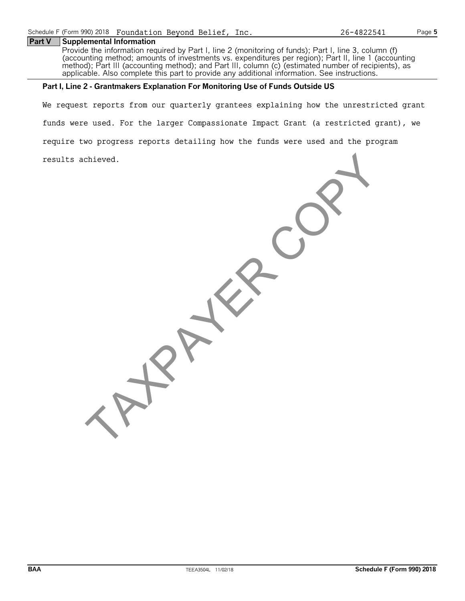#### **Part V** Supplemental Information

Provide the information required by Part I, line 2 (monitoring of funds); Part I, line 3, column (f) (accounting method; amounts of investments vs. expenditures per region); Part II, line 1 (accounting method); Part III (a applicable. Also complete this part to provide any additional information. See instructions.

#### Part I, Line 2 - Grantmakers Explanation For Monitoring Use of Funds Outside US

We request reports from our quarterly grantees explaining how the unrestricted grant

funds were used. For the larger Compassionate Impact Grant (a restricted grant), we

require two progress reports detailing how the funds were used and the program

results achieved.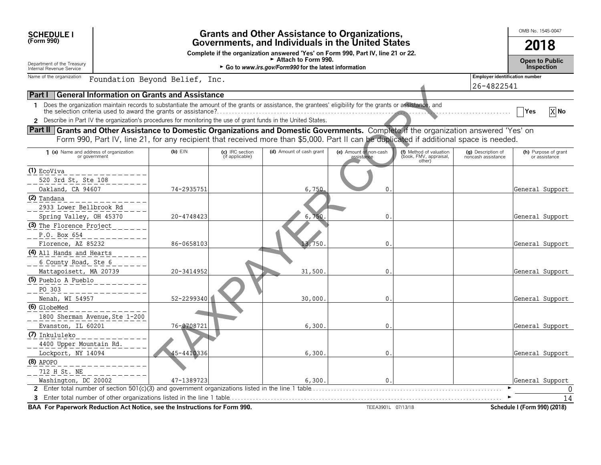| <b>SCHEDULE I</b>                                                                                                                                                                                                                                                                 |                                                                                  |                                    | <b>Grants and Other Assistance to Organizations,</b> |                                      |                                                             |                                          | OMB No. 1545-0047                     |  |  |
|-----------------------------------------------------------------------------------------------------------------------------------------------------------------------------------------------------------------------------------------------------------------------------------|----------------------------------------------------------------------------------|------------------------------------|------------------------------------------------------|--------------------------------------|-------------------------------------------------------------|------------------------------------------|---------------------------------------|--|--|
| (Form 990)                                                                                                                                                                                                                                                                        | Governments, and Individuals in the United States                                |                                    |                                                      |                                      |                                                             |                                          |                                       |  |  |
|                                                                                                                                                                                                                                                                                   | Complete if the organization answered 'Yes' on Form 990, Part IV, line 21 or 22. |                                    |                                                      |                                      |                                                             |                                          |                                       |  |  |
| Department of the Treasury<br>Internal Revenue Service                                                                                                                                                                                                                            | Attach to Form 990.<br>► Go to www.irs.gov/Form990 for the latest information    |                                    |                                                      |                                      |                                                             |                                          |                                       |  |  |
| Name of the organization                                                                                                                                                                                                                                                          | Foundation Beyond Belief, Inc.                                                   |                                    |                                                      |                                      |                                                             | <b>Employer identification number</b>    |                                       |  |  |
|                                                                                                                                                                                                                                                                                   |                                                                                  |                                    |                                                      |                                      |                                                             | 26-4822541                               |                                       |  |  |
| <b>General Information on Grants and Assistance</b><br>Part I                                                                                                                                                                                                                     |                                                                                  |                                    |                                                      |                                      |                                                             |                                          |                                       |  |  |
| Does the organization maintain records to substantiate the amount of the grants or assistance, the grantees' eligibility for the grants or assistance, and<br>$\mathbf{1}$                                                                                                        |                                                                                  |                                    |                                                      |                                      |                                                             |                                          | $\overline{X}$ No<br>∣Yes             |  |  |
| 2 Describe in Part IV the organization's procedures for monitoring the use of grant funds in the United States.                                                                                                                                                                   |                                                                                  |                                    |                                                      |                                      |                                                             |                                          |                                       |  |  |
| Part II Grants and Other Assistance to Domestic Organizations and Domestic Governments. Complete if the organization answered 'Yes' on<br>Form 990, Part IV, line 21, for any recipient that received more than \$5,000. Part II can be duplicated if additional space is needed. |                                                                                  |                                    |                                                      |                                      |                                                             |                                          |                                       |  |  |
| 1 (a) Name and address of organization<br>or government                                                                                                                                                                                                                           | $(b)$ $E$ IN                                                                     | (c) IRC section<br>(if applicable) | (d) Amount of cash grant                             | (e) Amount of non-cash<br>assistance | (f) Method of valuation<br>(book, FMV, appraisal,<br>other) | (g) Description of<br>noncash assistance | (h) Purpose of grant<br>or assistance |  |  |
| $(1)$ EcoViva                                                                                                                                                                                                                                                                     |                                                                                  |                                    |                                                      |                                      |                                                             |                                          |                                       |  |  |
| 520 3rd St, Ste 108                                                                                                                                                                                                                                                               |                                                                                  |                                    |                                                      |                                      |                                                             |                                          |                                       |  |  |
| Oakland, CA 94607                                                                                                                                                                                                                                                                 | 74-2935751                                                                       |                                    | 6,750                                                | $\Omega$                             |                                                             |                                          | General Support                       |  |  |
| (2) Tandana                                                                                                                                                                                                                                                                       |                                                                                  |                                    |                                                      |                                      |                                                             |                                          |                                       |  |  |
| 2933 Lower Bellbrook Rd                                                                                                                                                                                                                                                           |                                                                                  |                                    |                                                      |                                      |                                                             |                                          |                                       |  |  |
| Spring Valley, OH 45370                                                                                                                                                                                                                                                           | 20-4748423                                                                       |                                    | 6,750                                                |                                      | 0                                                           |                                          | General Support                       |  |  |
| (3) The Florence Project                                                                                                                                                                                                                                                          |                                                                                  |                                    |                                                      |                                      |                                                             |                                          |                                       |  |  |
| P.O. Box 654                                                                                                                                                                                                                                                                      |                                                                                  |                                    |                                                      |                                      |                                                             |                                          |                                       |  |  |
| Florence, AZ 85232                                                                                                                                                                                                                                                                | 86-0658103                                                                       |                                    | .3.750                                               | $\mathbf 0$                          |                                                             |                                          | General Support                       |  |  |
| (4) All Hands and Hearts                                                                                                                                                                                                                                                          |                                                                                  |                                    |                                                      |                                      |                                                             |                                          |                                       |  |  |
| 6 County Road, Ste 6                                                                                                                                                                                                                                                              |                                                                                  |                                    |                                                      |                                      | $\mathbf{0}$ .                                              |                                          |                                       |  |  |
| Mattapoisett, MA 20739<br>(5) Pueblo A Pueblo                                                                                                                                                                                                                                     | 20-3414952                                                                       |                                    | 31,500                                               |                                      |                                                             |                                          | General Support                       |  |  |
| PO 303                                                                                                                                                                                                                                                                            |                                                                                  |                                    |                                                      |                                      |                                                             |                                          |                                       |  |  |
| Nenah. WI 54957                                                                                                                                                                                                                                                                   | 52-2299340                                                                       |                                    | 30,000                                               | $\mathbf{0}$                         |                                                             |                                          | General Support                       |  |  |
| (6) GlobeMed                                                                                                                                                                                                                                                                      |                                                                                  |                                    |                                                      |                                      |                                                             |                                          |                                       |  |  |
| 1800 Sherman Avenue, Ste 1-200                                                                                                                                                                                                                                                    |                                                                                  |                                    |                                                      |                                      |                                                             |                                          |                                       |  |  |
| Evanston, IL 60201                                                                                                                                                                                                                                                                | 76-0708721                                                                       |                                    | 6,300                                                | $\mathbf 0$                          |                                                             |                                          | General Support                       |  |  |
| (7) Inkululeko                                                                                                                                                                                                                                                                    |                                                                                  |                                    |                                                      |                                      |                                                             |                                          |                                       |  |  |
| 4400 Upper Mountain Rd.                                                                                                                                                                                                                                                           |                                                                                  |                                    |                                                      |                                      |                                                             |                                          |                                       |  |  |
| Lockport, NY 14094                                                                                                                                                                                                                                                                | 45-4410336                                                                       |                                    | 6,300                                                |                                      | $\Omega$                                                    |                                          | General Support                       |  |  |
| <b>(8)</b> APOPO                                                                                                                                                                                                                                                                  |                                                                                  |                                    |                                                      |                                      |                                                             |                                          |                                       |  |  |
| 712 H St. NE                                                                                                                                                                                                                                                                      |                                                                                  |                                    |                                                      |                                      |                                                             |                                          |                                       |  |  |
| Washington, DC 20002                                                                                                                                                                                                                                                              | 47-1389723                                                                       |                                    | 6,300                                                |                                      | $\mathbf{0}$ .                                              |                                          | General Support                       |  |  |
|                                                                                                                                                                                                                                                                                   |                                                                                  |                                    |                                                      |                                      |                                                             |                                          |                                       |  |  |
| 3 Enter total number of other organizations listed in the line 1 table<br>BAA For Paperwork Reduction Act Notice, see the Instructions for Form 990.                                                                                                                              |                                                                                  |                                    |                                                      |                                      |                                                             |                                          | 14                                    |  |  |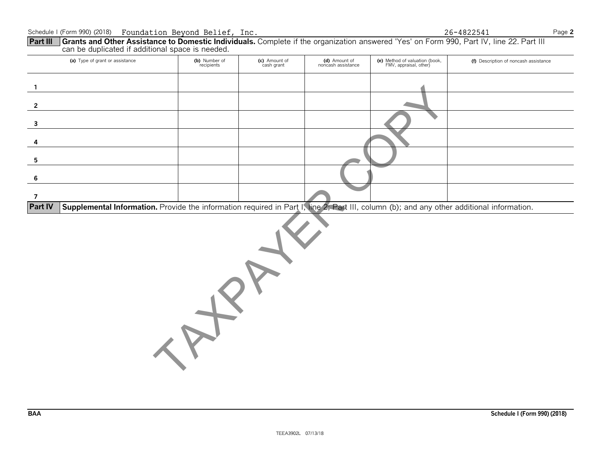Page 2

| Part III   Grants and Other Assistance to Domestic Individuals. Complete if the organization answered 'Yes' on Form 990, Part IV, line 22. Part II |  |
|----------------------------------------------------------------------------------------------------------------------------------------------------|--|
| can be duplicated if additional space is needed.                                                                                                   |  |

| (a) Type of grant or assistance                                                                                                                                                                                                                                                                                                                 | (b) Number of<br>recipients | (c) Amount of<br>cash grant | (d) Amount of<br>noncash assistance | (e) Method of valuation (book,<br>FMV, appraisal, other) | (f) Description of noncash assistance |
|-------------------------------------------------------------------------------------------------------------------------------------------------------------------------------------------------------------------------------------------------------------------------------------------------------------------------------------------------|-----------------------------|-----------------------------|-------------------------------------|----------------------------------------------------------|---------------------------------------|
|                                                                                                                                                                                                                                                                                                                                                 |                             |                             |                                     |                                                          |                                       |
|                                                                                                                                                                                                                                                                                                                                                 |                             |                             |                                     |                                                          |                                       |
|                                                                                                                                                                                                                                                                                                                                                 |                             |                             |                                     |                                                          |                                       |
|                                                                                                                                                                                                                                                                                                                                                 |                             |                             |                                     |                                                          |                                       |
|                                                                                                                                                                                                                                                                                                                                                 |                             |                             |                                     |                                                          |                                       |
|                                                                                                                                                                                                                                                                                                                                                 |                             |                             |                                     |                                                          |                                       |
| $R_{\text{c}} + M_{\text{c}}$ $R_{\text{c}}$ $R_{\text{c}}$ $R_{\text{c}}$ $R_{\text{c}}$ $R_{\text{c}}$ $R_{\text{c}}$ $R_{\text{c}}$ $R_{\text{c}}$ $R_{\text{c}}$ $R_{\text{c}}$ $R_{\text{c}}$ $R_{\text{c}}$ $R_{\text{c}}$ $R_{\text{c}}$ $R_{\text{c}}$ $R_{\text{c}}$ $R_{\text{c}}$ $R_{\text{c}}$ $R_{\text{c}}$ $R_{\text{c}}$ $R_{$ |                             |                             |                                     |                                                          |                                       |

**Part IV** Supplemental Information. Provide the information required in Part I, line 2; Part III, column (b); and any other additional information.

EPRY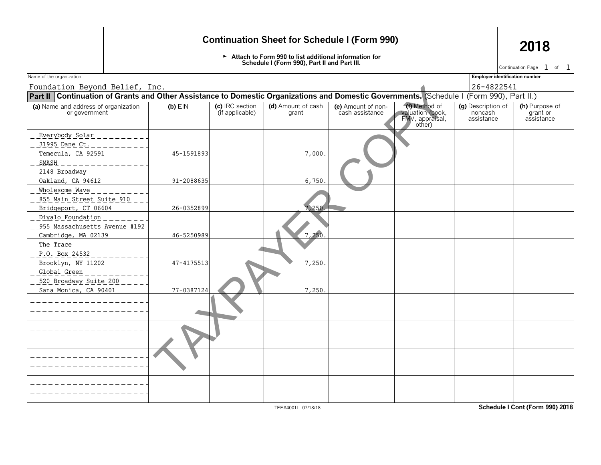### **Continuation Sheet for Schedule I (Form 990)**

► Attach to Form 990 to list additional information for<br>Schedule I (Form 990), Part II and Part III.

Continuation Page 1 of 1

2018

| Name of the organization                                                                                                                    |            |                                    |                             |                                       |                                                                | <b>Employer identification number</b>       |                                          |  |
|---------------------------------------------------------------------------------------------------------------------------------------------|------------|------------------------------------|-----------------------------|---------------------------------------|----------------------------------------------------------------|---------------------------------------------|------------------------------------------|--|
| 26-4822541<br>Foundation Beyond Belief, Inc.                                                                                                |            |                                    |                             |                                       |                                                                |                                             |                                          |  |
| Part II   Continuation of Grants and Other Assistance to Domestic Organizations and Domestic Governments. (Schedule I (Form 990), Part II.) |            |                                    |                             |                                       |                                                                |                                             |                                          |  |
| (a) Name and address of organization<br>or government                                                                                       | $(b)$ EIN  | (c) IRC section<br>(if applicable) | (d) Amount of cash<br>grant | (e) Amount of non-<br>cash assistance | (f) Method of<br>valuation (book,<br>FMV, appraisal,<br>other) | (g) Description of<br>noncash<br>assistance | (h) Purpose of<br>grant or<br>assistance |  |
| Everybody Solar<br>31995 Dane Ct.<br>Temecula, CA 92591                                                                                     | 45-1591893 |                                    | 7,000                       |                                       |                                                                |                                             |                                          |  |
| SMASH<br>2148 Broadway<br>Oakland, CA 94612                                                                                                 | 91-2088635 |                                    | 6,750.                      |                                       |                                                                |                                             |                                          |  |
| Wholesome Wave<br>855 Main Street Suite 910<br>Bridgeport, CT 06604                                                                         | 26-0352899 |                                    | 7,250.                      |                                       |                                                                |                                             |                                          |  |
| Diyalo Foundation<br>955 Massachusetts Avenue #192<br>Cambridge, MA 02139                                                                   | 46-5250989 |                                    | 7,250                       |                                       |                                                                |                                             |                                          |  |
| The Trace<br>P.O. Box 24532<br>Brooklyn, NY 11202                                                                                           | 47-4175513 |                                    | 7,250                       |                                       |                                                                |                                             |                                          |  |
| <u>Global Green</u><br>520 Broadway Suite 200<br>Sana Monica, CA 90401                                                                      | 77-0387124 |                                    | 7,250                       |                                       |                                                                |                                             |                                          |  |
|                                                                                                                                             |            |                                    |                             |                                       |                                                                |                                             |                                          |  |
|                                                                                                                                             |            |                                    |                             |                                       |                                                                |                                             |                                          |  |
|                                                                                                                                             |            |                                    |                             |                                       |                                                                |                                             |                                          |  |
|                                                                                                                                             |            |                                    |                             |                                       |                                                                |                                             |                                          |  |
|                                                                                                                                             |            |                                    |                             |                                       |                                                                |                                             |                                          |  |

Schedule I Cont (Form 990) 2018